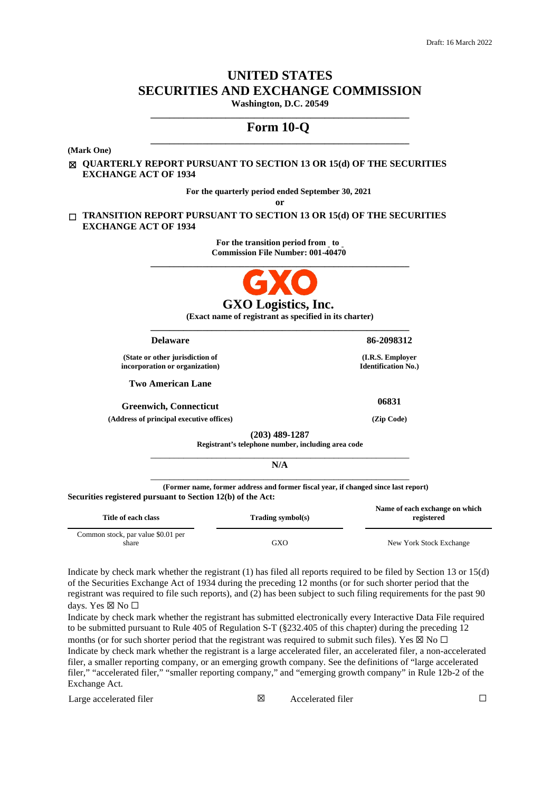# **UNITED STATES SECURITIES AND EXCHANGE COMMISSION Washington, D.C. 20549**

# **\_\_\_\_\_\_\_\_\_\_\_\_\_\_\_\_\_\_\_\_\_\_\_\_\_\_\_\_\_\_\_\_\_\_\_\_\_\_\_\_\_\_\_\_\_\_\_\_\_\_\_\_\_\_\_ Form 10-Q \_\_\_\_\_\_\_\_\_\_\_\_\_\_\_\_\_\_\_\_\_\_\_\_\_\_\_\_\_\_\_\_\_\_\_\_\_\_\_\_\_\_\_\_\_\_\_\_\_\_\_\_\_\_\_**

**(Mark One)**

☒ **QUARTERLY REPORT PURSUANT TO SECTION 13 OR 15(d) OF THE SECURITIES EXCHANGE ACT OF 1934**

**For the quarterly period ended September 30, 2021**

**or**

☐ **TRANSITION REPORT PURSUANT TO SECTION 13 OR 15(d) OF THE SECURITIES EXCHANGE ACT OF 1934**

> For the transition period from to **Commission File Number: 001-40470**



**(Exact name of registrant as specified in its charter) \_\_\_\_\_\_\_\_\_\_\_\_\_\_\_\_\_\_\_\_\_\_\_\_\_\_\_\_\_\_\_\_\_\_\_\_\_\_\_\_\_\_\_\_\_\_\_\_\_\_\_\_\_\_\_**

| <b>Delaware</b>                                                                                                                                   | 86-2098312                                     |
|---------------------------------------------------------------------------------------------------------------------------------------------------|------------------------------------------------|
| (State or other jurisdiction of<br>incorporation or organization)                                                                                 | (I.R.S. Employer<br><b>Identification No.)</b> |
| <b>Two American Lane</b>                                                                                                                          |                                                |
| <b>Greenwich, Connecticut</b>                                                                                                                     | 06831                                          |
| (Address of principal executive offices)                                                                                                          | (Zip Code)                                     |
| $(203)$ 489-1287<br>Registrant's telephone number, including area code                                                                            |                                                |
| N/A                                                                                                                                               |                                                |
| (Former name, former address and former fiscal year, if changed since last report)<br>Securities registered pursuant to Section 12(b) of the Act: |                                                |

| Title of each class                | Trading symbol(s) | Name of each exchange on which<br>registered |
|------------------------------------|-------------------|----------------------------------------------|
| Common stock, par value \$0.01 per |                   |                                              |
| share                              | GXO               | New York Stock Exchange                      |

Indicate by check mark whether the registrant (1) has filed all reports required to be filed by Section 13 or 15(d) of the Securities Exchange Act of 1934 during the preceding 12 months (or for such shorter period that the registrant was required to file such reports), and (2) has been subject to such filing requirements for the past 90 days. Yes ⊠ No □

Indicate by check mark whether the registrant has submitted electronically every Interactive Data File required to be submitted pursuant to Rule 405 of Regulation S-T (§232.405 of this chapter) during the preceding 12 months (or for such shorter period that the registrant was required to submit such files). Yes  $\boxtimes$  No  $\Box$ Indicate by check mark whether the registrant is a large accelerated filer, an accelerated filer, a non-accelerated filer, a smaller reporting company, or an emerging growth company. See the definitions of "large accelerated filer," "accelerated filer," "smaller reporting company," and "emerging growth company" in Rule 12b-2 of the Exchange Act.

Large accelerated filer ☒ Accelerated filer ☐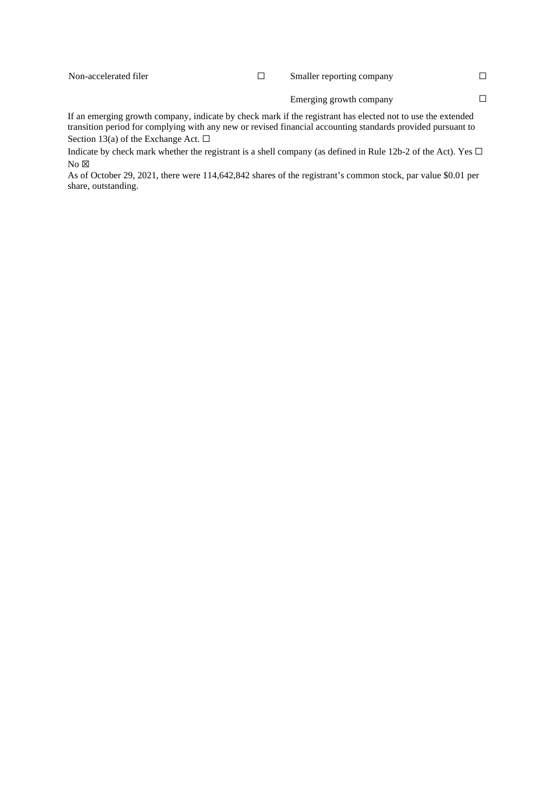If an emerging growth company, indicate by check mark if the registrant has elected not to use the extended transition period for complying with any new or revised financial accounting standards provided pursuant to Section 13(a) of the Exchange Act.  $\Box$ 

Indicate by check mark whether the registrant is a shell company (as defined in Rule 12b-2 of the Act). Yes  $\Box$  $No \boxtimes$ 

As of October 29, 2021, there were 114,642,842 shares of the registrant's common stock, par value \$0.01 per share, outstanding.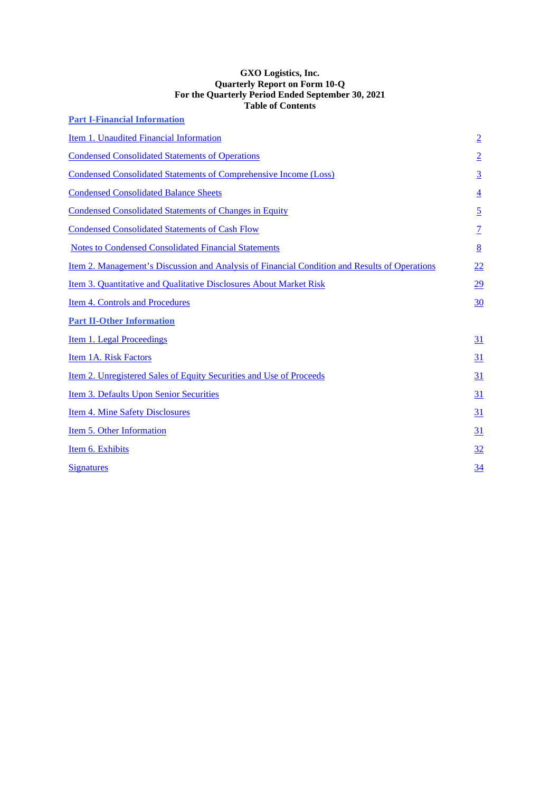#### **GXO Logistics, Inc. Quarterly Report on Form 10-Q For the Quarterly Period Ended September 30, 2021 Table of Contents**

| <b>Part I-Financial Information</b>                                                           |                 |
|-----------------------------------------------------------------------------------------------|-----------------|
| Item 1. Unaudited Financial Information                                                       | $\overline{2}$  |
| <b>Condensed Consolidated Statements of Operations</b>                                        | $\overline{2}$  |
| <b>Condensed Consolidated Statements of Comprehensive Income (Loss)</b>                       | $\overline{3}$  |
| <b>Condensed Consolidated Balance Sheets</b>                                                  | $\overline{4}$  |
| <b>Condensed Consolidated Statements of Changes in Equity</b>                                 | $\overline{5}$  |
| <b>Condensed Consolidated Statements of Cash Flow</b>                                         | $\overline{1}$  |
| <b>Notes to Condensed Consolidated Financial Statements</b>                                   | $8\overline{8}$ |
| Item 2. Management's Discussion and Analysis of Financial Condition and Results of Operations | 22              |
| Item 3. Quantitative and Qualitative Disclosures About Market Risk                            | 29              |
| <b>Item 4. Controls and Procedures</b>                                                        | 30              |
| <b>Part II-Other Information</b>                                                              |                 |
| <b>Item 1. Legal Proceedings</b>                                                              | <u>31</u>       |
| Item 1A. Risk Factors                                                                         | <u>31</u>       |
| <u>Item 2. Unregistered Sales of Equity Securities and Use of Proceeds</u>                    | 31              |
| Item 3. Defaults Upon Senior Securities                                                       | 31              |
| <b>Item 4. Mine Safety Disclosures</b>                                                        | 31              |
| Item 5. Other Information                                                                     | 31              |
| Item 6. Exhibits                                                                              | 32              |
| <b>Signatures</b>                                                                             | 34              |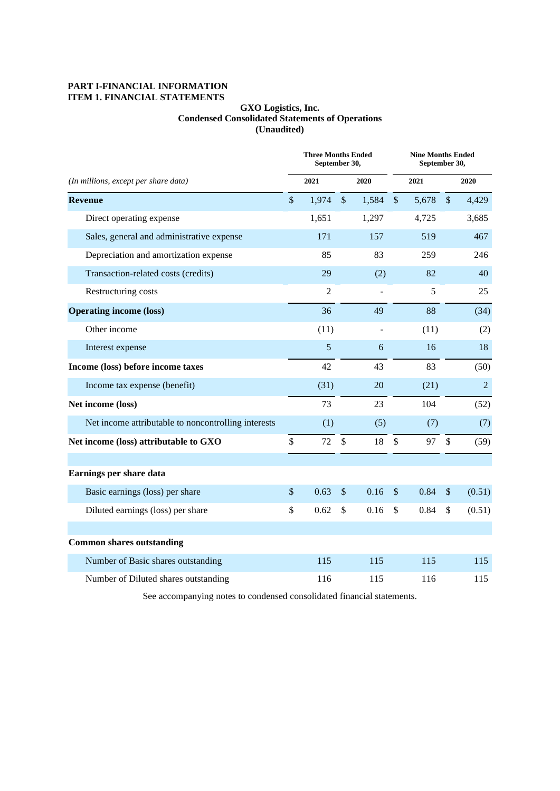# **PART I-FINANCIAL INFORMATION ITEM 1. FINANCIAL STATEMENTS**

# **GXO Logistics, Inc. Condensed Consolidated Statements of Operations (Unaudited)**

|                                                     |               | <b>Three Months Ended</b><br>September 30, |               |                |               | <b>Nine Months Ended</b><br>September 30, |               |                |
|-----------------------------------------------------|---------------|--------------------------------------------|---------------|----------------|---------------|-------------------------------------------|---------------|----------------|
| (In millions, except per share data)                |               | 2021                                       |               | 2020           |               | 2021                                      |               | 2020           |
| <b>Revenue</b>                                      | $\mathcal{S}$ | 1,974                                      | $\mathcal{S}$ | 1,584          | $\sqrt$       | 5,678                                     | $\mathcal{S}$ | 4,429          |
| Direct operating expense                            |               | 1,651                                      |               | 1,297          |               | 4,725                                     |               | 3,685          |
| Sales, general and administrative expense           |               | 171                                        |               | 157            |               | 519                                       |               | 467            |
| Depreciation and amortization expense               |               | 85                                         |               | 83             |               | 259                                       |               | 246            |
| Transaction-related costs (credits)                 |               | 29                                         |               | (2)            |               | 82                                        |               | 40             |
| Restructuring costs                                 |               | $\overline{2}$                             |               | $\blacksquare$ |               | 5                                         |               | 25             |
| <b>Operating income (loss)</b>                      |               | 36                                         |               | 49             |               | 88                                        |               | (34)           |
| Other income                                        |               | (11)                                       |               |                |               | (11)                                      |               | (2)            |
| Interest expense                                    |               | 5                                          |               | 6              |               | 16                                        |               | 18             |
| Income (loss) before income taxes                   |               | 42                                         |               | 43             |               | 83                                        |               | (50)           |
| Income tax expense (benefit)                        |               | (31)                                       |               | 20             |               | (21)                                      |               | $\overline{2}$ |
| Net income (loss)                                   |               | 73                                         |               | 23             |               | 104                                       |               | (52)           |
| Net income attributable to noncontrolling interests |               | (1)                                        |               | (5)            |               | (7)                                       |               | (7)            |
| Net income (loss) attributable to GXO               | \$            | 72                                         | $\mathbb{S}$  | 18             | $\mathcal{S}$ | 97                                        | $\mathcal{S}$ | (59)           |
|                                                     |               |                                            |               |                |               |                                           |               |                |
| Earnings per share data                             |               |                                            |               |                |               |                                           |               |                |
| Basic earnings (loss) per share                     | $\mathcal{S}$ | 0.63                                       | $\mathcal{S}$ | 0.16           | $\mathcal{S}$ | 0.84                                      | $\mathcal{S}$ | (0.51)         |
| Diluted earnings (loss) per share                   | \$            | 0.62                                       | \$            | 0.16           | $\mathcal{S}$ | 0.84                                      | \$            | (0.51)         |
|                                                     |               |                                            |               |                |               |                                           |               |                |
| <b>Common shares outstanding</b>                    |               |                                            |               |                |               |                                           |               |                |
| Number of Basic shares outstanding                  |               | 115                                        |               | 115            |               | 115                                       |               | 115            |
| Number of Diluted shares outstanding                |               | 116                                        |               | 115            |               | 116                                       |               | 115            |

See accompanying notes to condensed consolidated financial statements.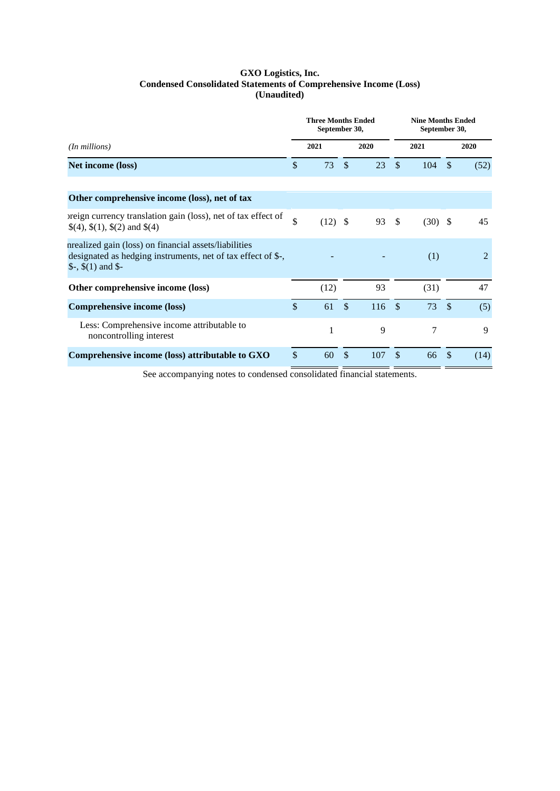### **GXO Logistics, Inc. Condensed Consolidated Statements of Comprehensive Income (Loss) (Unaudited)**

|                                                                                                                                                    |               | <b>Three Months Ended</b><br>September 30, |               |      |               | <b>Nine Months Ended</b><br>September 30, |               |                |
|----------------------------------------------------------------------------------------------------------------------------------------------------|---------------|--------------------------------------------|---------------|------|---------------|-------------------------------------------|---------------|----------------|
| ( <i>In millions</i> )                                                                                                                             |               | 2021                                       |               | 2020 |               | 2021                                      |               | 2020           |
| Net income (loss)                                                                                                                                  | $\mathcal{S}$ | 73                                         | $\mathcal{S}$ | 23   | $\mathcal{S}$ | 104                                       | <sup>\$</sup> | (52)           |
| Other comprehensive income (loss), net of tax                                                                                                      |               |                                            |               |      |               |                                           |               |                |
| preign currency translation gain (loss), net of tax effect of<br>$\$(4), \$(1), \$(2) \]$ and $\$(4)$                                              | $\mathbb{S}$  | $(12)$ \$                                  |               | 93   | - \$          | $(30)$ \$                                 |               | 45             |
| nrealized gain (loss) on financial assets/liabilities<br>designated as hedging instruments, net of tax effect of \$-,<br>$\$ -, $\$(1)$ and $\$$ - |               |                                            |               |      |               | (1)                                       |               | $\overline{2}$ |
| Other comprehensive income (loss)                                                                                                                  |               | (12)                                       |               | 93   |               | (31)                                      |               | 47             |
| <b>Comprehensive income (loss)</b>                                                                                                                 | $\mathcal{S}$ | 61                                         | $\mathcal{S}$ | 116S |               | 73                                        | $\mathcal{S}$ | (5)            |
| Less: Comprehensive income attributable to<br>noncontrolling interest                                                                              |               | 1                                          |               | 9    |               | 7                                         |               | 9              |
| Comprehensive income (loss) attributable to GXO                                                                                                    | \$            | 60                                         | \$            | 107  | \$            | 66                                        | \$            | (14)           |

See accompanying notes to condensed consolidated financial statements.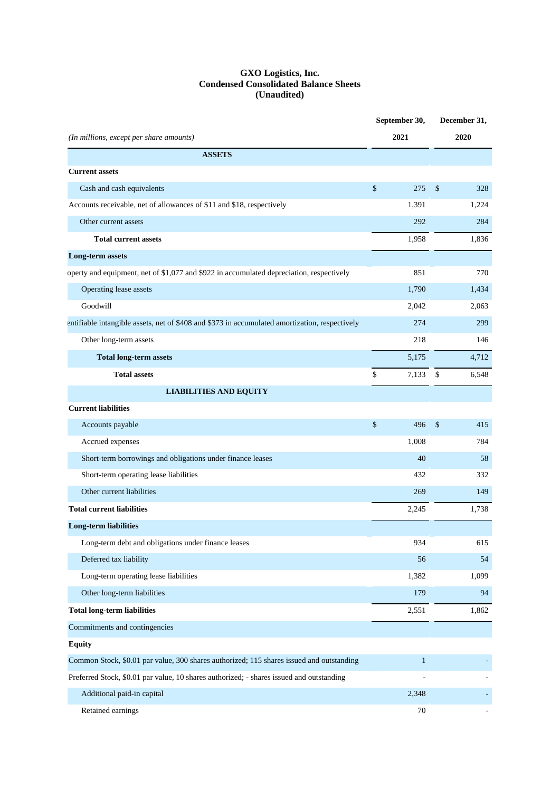#### **GXO Logistics, Inc. Condensed Consolidated Balance Sheets (Unaudited)**

|                                                                                                |               | September 30, | December 31,             |
|------------------------------------------------------------------------------------------------|---------------|---------------|--------------------------|
| (In millions, except per share amounts)                                                        |               | 2021          | 2020                     |
| <b>ASSETS</b>                                                                                  |               |               |                          |
| <b>Current assets</b>                                                                          |               |               |                          |
| Cash and cash equivalents                                                                      | $\$\,$        | 275           | \$<br>328                |
| Accounts receivable, net of allowances of \$11 and \$18, respectively                          |               | 1,391         | 1,224                    |
| Other current assets                                                                           |               | 292           | 284                      |
| <b>Total current assets</b>                                                                    |               | 1,958         | 1.836                    |
| <b>Long-term assets</b>                                                                        |               |               |                          |
| operty and equipment, net of \$1,077 and \$922 in accumulated depreciation, respectively       |               | 851           | 770                      |
| Operating lease assets                                                                         |               | 1,790         | 1,434                    |
| Goodwill                                                                                       |               | 2,042         | 2,063                    |
| entifiable intangible assets, net of \$408 and \$373 in accumulated amortization, respectively |               | 274           | 299                      |
| Other long-term assets                                                                         |               | 218           | 146                      |
| <b>Total long-term assets</b>                                                                  |               | 5,175         | 4,712                    |
| <b>Total assets</b>                                                                            | \$            | 7,133         | \$<br>6,548              |
| <b>LIABILITIES AND EQUITY</b>                                                                  |               |               |                          |
| <b>Current liabilities</b>                                                                     |               |               |                          |
| Accounts payable                                                                               | $\sqrt[6]{3}$ | 496           | \$<br>415                |
| Accrued expenses                                                                               |               | 1,008         | 784                      |
| Short-term borrowings and obligations under finance leases                                     |               | 40            | 58                       |
| Short-term operating lease liabilities                                                         |               | 432           | 332                      |
| Other current liabilities                                                                      |               | 269           | 149                      |
| <b>Total current liabilities</b>                                                               |               | 2,245         | 1,738                    |
| <b>Long-term liabilities</b>                                                                   |               |               |                          |
| Long-term debt and obligations under finance leases                                            |               | 934           | 615                      |
| Deferred tax liability                                                                         |               | 56            | 54                       |
| Long-term operating lease liabilities                                                          |               | 1,382         | 1,099                    |
| Other long-term liabilities                                                                    |               | 179           | 94                       |
| <b>Total long-term liabilities</b>                                                             |               | 2,551         | 1,862                    |
| Commitments and contingencies                                                                  |               |               |                          |
| <b>Equity</b>                                                                                  |               |               |                          |
| Common Stock, \$0.01 par value, 300 shares authorized; 115 shares issued and outstanding       |               | $\mathbf{1}$  |                          |
| Preferred Stock, \$0.01 par value, 10 shares authorized; - shares issued and outstanding       |               |               |                          |
| Additional paid-in capital                                                                     |               | 2,348         |                          |
| Retained earnings                                                                              |               | $70\,$        | $\overline{\phantom{a}}$ |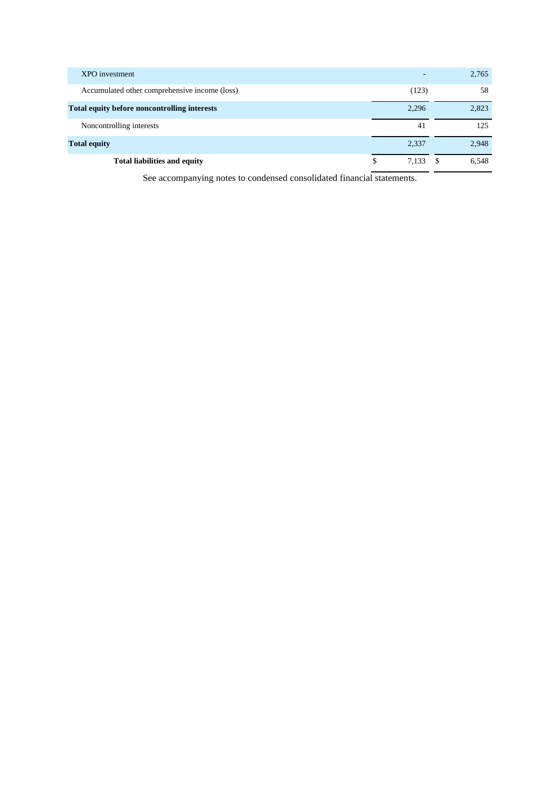| XPO investment                                      |            | 2,765      |
|-----------------------------------------------------|------------|------------|
| Accumulated other comprehensive income (loss)       | (123)      | 58         |
| <b>Total equity before noncontrolling interests</b> | 2,296      | 2,823      |
| Noncontrolling interests                            | 41         | 125        |
| <b>Total equity</b>                                 | 2,337      | 2,948      |
| <b>Total liabilities and equity</b>                 | 7.133<br>S | 6,548<br>S |

See accompanying notes to condensed consolidated financial statements.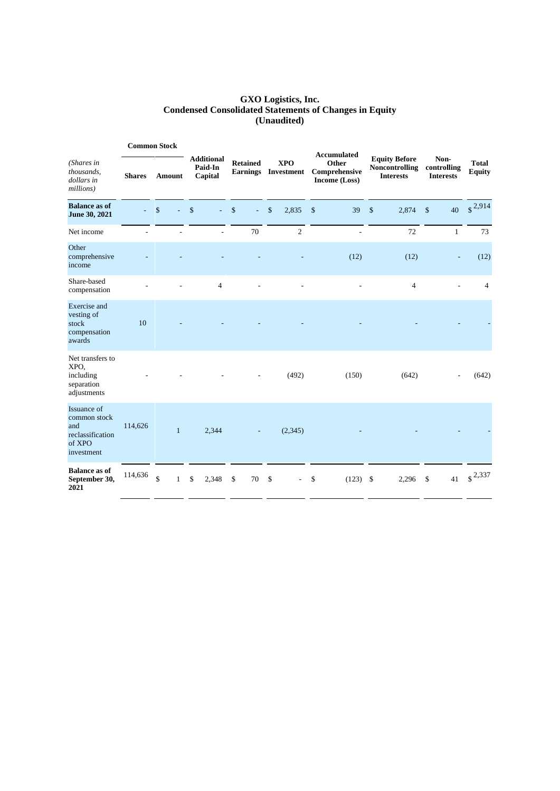#### **GXO Logistics, Inc. Condensed Consolidated Statements of Changes in Equity (Unaudited)**

|                                                                                | <b>Common Stock</b> |                                    |               |                                         |                          |                    | <b>Accumulated</b>                |                                         |               |                                                                   |              |                                         |                               |
|--------------------------------------------------------------------------------|---------------------|------------------------------------|---------------|-----------------------------------------|--------------------------|--------------------|-----------------------------------|-----------------------------------------|---------------|-------------------------------------------------------------------|--------------|-----------------------------------------|-------------------------------|
| (Shares in<br>thousands,<br>dollars in<br>millions)                            | <b>Shares</b>       | <b>Amount</b>                      |               | <b>Additional</b><br>Paid-In<br>Capital | <b>Retained</b>          |                    | <b>XPO</b><br>Earnings Investment | Other<br>Comprehensive<br>Income (Loss) |               | <b>Equity Before</b><br><b>Noncontrolling</b><br><b>Interests</b> |              | Non-<br>controlling<br><b>Interests</b> | <b>Total</b><br><b>Equity</b> |
| <b>Balance as of</b><br>June 30, 2021                                          |                     | $\mathsf{\$}$                      | $\mathsf{\$}$ | ÷.                                      | $\mathbf{\hat{S}}$<br>L. | $\mathbf{\hat{S}}$ | 2,835                             | \$<br>39                                | $\mathsf{\$}$ | 2,874                                                             | $\mathbf{s}$ | 40                                      | $\sqrt{$}^{2,914}$            |
| Net income                                                                     |                     |                                    |               | L.                                      | 70                       |                    | $\overline{2}$                    | $\overline{a}$                          |               | 72                                                                |              | $\mathbf{1}$                            | 73                            |
| Other<br>comprehensive<br>income                                               |                     |                                    |               |                                         |                          |                    |                                   | (12)                                    |               | (12)                                                              |              |                                         | (12)                          |
| Share-based<br>compensation                                                    |                     |                                    |               | $\overline{4}$                          |                          |                    |                                   | L,                                      |               | $\overline{4}$                                                    |              |                                         | $\overline{4}$                |
| Exercise and<br>vesting of<br>stock<br>compensation<br>awards                  | 10                  |                                    |               |                                         |                          |                    |                                   |                                         |               |                                                                   |              |                                         |                               |
| Net transfers to<br>XPO,<br>including<br>separation<br>adjustments             |                     |                                    |               |                                         |                          |                    | (492)                             | (150)                                   |               | (642)                                                             |              |                                         | (642)                         |
| Issuance of<br>common stock<br>and<br>reclassification<br>of XPO<br>investment | 114,626             | $\mathbf{1}$                       |               | 2,344                                   |                          |                    | (2,345)                           |                                         |               |                                                                   |              |                                         |                               |
| <b>Balance as of</b><br>September 30,<br>2021                                  | 114,636             | $\hat{\mathbf{S}}$<br>$\mathbf{1}$ | $\mathbb{S}$  | 2,348                                   | \$<br>70                 | \$                 | $\sim$                            | \$<br>(123)                             | \$            | 2,296                                                             | \$           | 41                                      | $\int$ 2,337                  |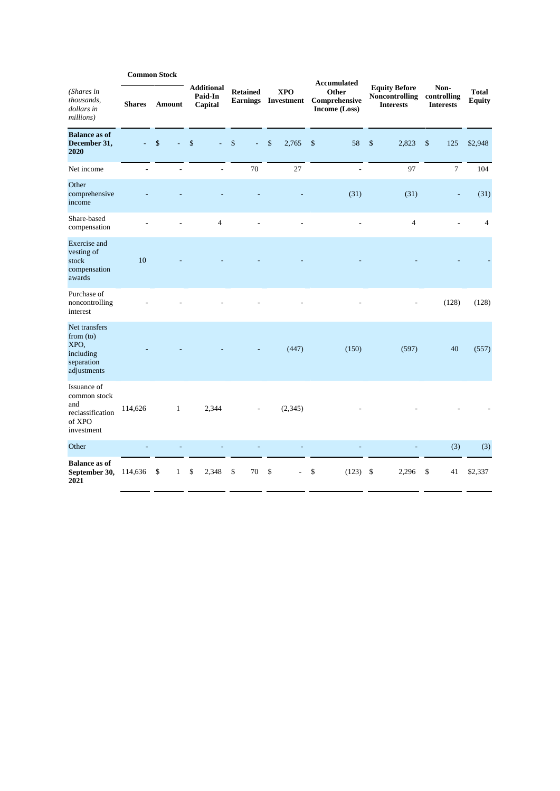|                                                                                |               | <b>Common Stock</b> |                                         |          |                 |    |                                   |    | <b>Accumulated</b>                      |    |                                                                   |                                         |                               |
|--------------------------------------------------------------------------------|---------------|---------------------|-----------------------------------------|----------|-----------------|----|-----------------------------------|----|-----------------------------------------|----|-------------------------------------------------------------------|-----------------------------------------|-------------------------------|
| (Shares in<br>thousands,<br>dollars in<br>millions)                            | <b>Shares</b> | Amount              | <b>Additional</b><br>Paid-In<br>Capital |          | <b>Retained</b> |    | <b>XPO</b><br>Earnings Investment |    | Other<br>Comprehensive<br>Income (Loss) |    | <b>Equity Before</b><br><b>Noncontrolling</b><br><b>Interests</b> | Non-<br>controlling<br><b>Interests</b> | <b>Total</b><br><b>Equity</b> |
| <b>Balance as of</b><br>December 31,<br>2020                                   | ÷,            | \$<br>L,            | \$<br>$\omega$                          | \$       | ä,              | \$ | 2,765                             | \$ | 58                                      | \$ | 2,823                                                             | \$<br>125                               | \$2,948                       |
| Net income                                                                     |               |                     | $\overline{a}$                          | 70       |                 |    | 27                                |    | L                                       |    | 97                                                                | $\tau$                                  | 104                           |
| Other<br>comprehensive<br>income                                               |               |                     |                                         |          |                 |    |                                   |    | (31)                                    |    | (31)                                                              | Ē,                                      | (31)                          |
| Share-based<br>compensation                                                    |               |                     | 4                                       |          |                 |    |                                   |    |                                         |    | $\overline{4}$                                                    |                                         | $\overline{4}$                |
| Exercise and<br>vesting of<br>stock<br>compensation<br>awards                  | 10            |                     |                                         |          |                 |    |                                   |    |                                         |    |                                                                   |                                         |                               |
| Purchase of<br>noncontrolling<br>interest                                      |               |                     |                                         |          |                 |    |                                   |    |                                         |    |                                                                   | (128)                                   | (128)                         |
| Net transfers<br>from (to)<br>XPO,<br>including<br>separation<br>adjustments   |               |                     |                                         |          |                 |    | (447)                             |    | (150)                                   |    | (597)                                                             | 40                                      | (557)                         |
| Issuance of<br>common stock<br>and<br>reclassification<br>of XPO<br>investment | 114,626       | $\mathbf{1}$        | 2,344                                   |          |                 |    | (2,345)                           |    |                                         |    |                                                                   |                                         |                               |
| Other                                                                          |               |                     |                                         |          |                 |    |                                   |    |                                         |    |                                                                   | (3)                                     | (3)                           |
| <b>Balance as of</b><br>September 30,<br>2021                                  | 114,636       | \$<br>$\mathbf{1}$  | \$<br>2,348                             | \$<br>70 |                 | \$ |                                   | \$ | (123)                                   | \$ | 2,296                                                             | \$<br>41                                | \$2,337                       |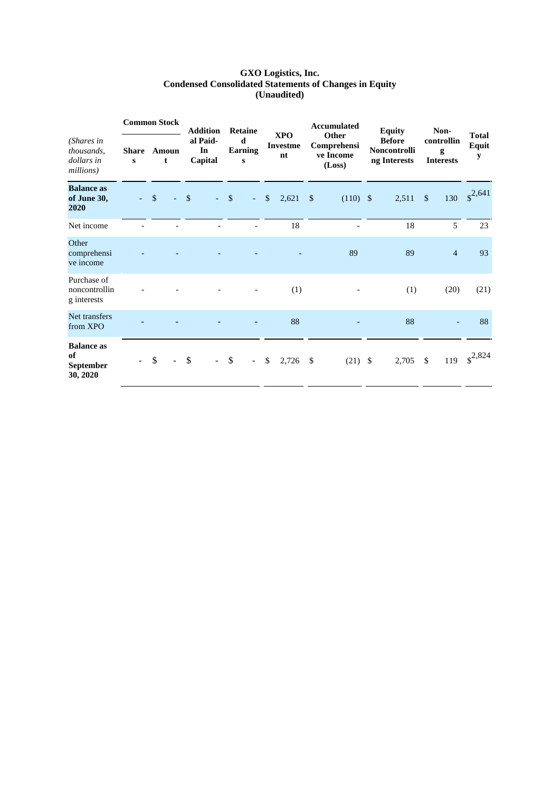#### **GXO Logistics, Inc. Condensed Consolidated Statements of Changes in Equity (Unaudited)**

|                                                     | <b>Common Stock</b> |    |                | <b>Addition</b> |                           | <b>Retaine</b> |                          |             |                                     |               | <b>Accumulated</b>                          |      | <b>Equity</b>                                 |              | Non-                                |                            |
|-----------------------------------------------------|---------------------|----|----------------|-----------------|---------------------------|----------------|--------------------------|-------------|-------------------------------------|---------------|---------------------------------------------|------|-----------------------------------------------|--------------|-------------------------------------|----------------------------|
| (Shares in<br>thousands,<br>dollars in<br>millions) | <b>Share</b><br>S   |    | Amoun<br>t     |                 | al Paid-<br>In<br>Capital |                | d<br><b>Earning</b><br>S |             | <b>XPO</b><br><b>Investme</b><br>nt |               | Other<br>Comprehensi<br>ve Income<br>(Loss) |      | <b>Before</b><br>Noncontrolli<br>ng Interests |              | controllin<br>g<br><b>Interests</b> | <b>Total</b><br>Equit<br>y |
| <b>Balance</b> as<br>of June 30,<br>2020            | $\sim 100$          | \$ |                | \$              | - 11                      | $\sqrt{\ }$    | $\sim$ $^{-1}$           | $\sqrt{\ }$ | 2,621                               | $\mathcal{S}$ | $(110)$ \$                                  |      | 2,511                                         | \$           | 130                                 | $\sqrt{$}^{2,641}$         |
| Net income                                          |                     |    |                |                 |                           |                |                          |             | 18                                  |               |                                             |      | 18                                            |              | 5                                   | 23                         |
| Other<br>comprehensi<br>ve income                   |                     |    |                |                 |                           |                |                          |             |                                     |               | 89                                          |      | 89                                            |              | $\overline{4}$                      | 93                         |
| Purchase of<br>noncontrollin<br>g interests         |                     |    |                |                 |                           |                |                          |             | (1)                                 |               |                                             |      | (1)                                           |              | (20)                                | (21)                       |
| Net transfers<br>from XPO                           |                     |    |                |                 |                           |                |                          |             | 88                                  |               |                                             |      | 88                                            |              |                                     | 88                         |
| <b>Balance as</b><br>of<br>September<br>30, 2020    |                     | \$ | $\blacksquare$ | \$              |                           | \$             | $\sim$                   | \$          | 2,726                               | $\mathbb{S}$  | (21)                                        | - \$ | 2,705                                         | $\mathbb{S}$ | 119                                 | $\sqrt{$}^{2,824}$         |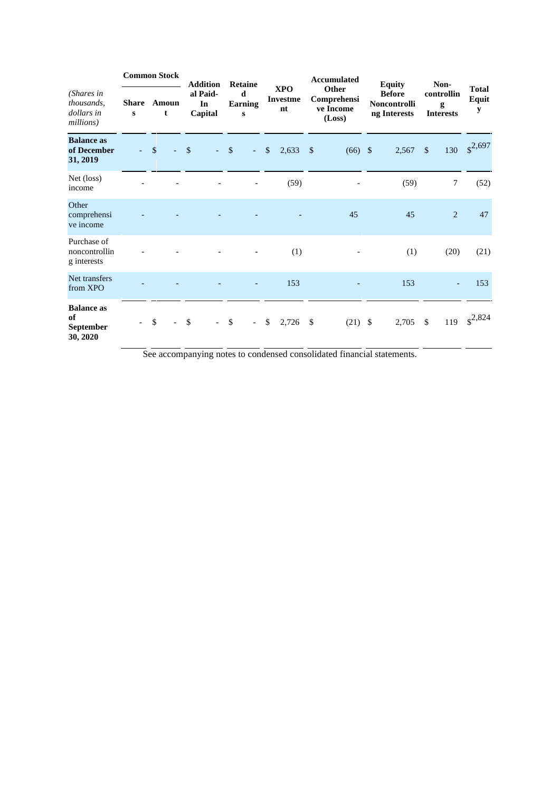|                                                     | <b>Common Stock</b>       |              |            | <b>Addition</b> |                           | Retaine            |                          |              |                                     |            | <b>Accumulated</b>                          |                                                                       |              | Non-                                |                            |
|-----------------------------------------------------|---------------------------|--------------|------------|-----------------|---------------------------|--------------------|--------------------------|--------------|-------------------------------------|------------|---------------------------------------------|-----------------------------------------------------------------------|--------------|-------------------------------------|----------------------------|
| (Shares in<br>thousands,<br>dollars in<br>millions) | <b>Share</b><br>${\bf s}$ |              | Amoun<br>t |                 | al Paid-<br>In<br>Capital |                    | d<br>Earning<br>S        |              | <b>XPO</b><br><b>Investme</b><br>nt |            | Other<br>Comprehensi<br>ve Income<br>(Loss) | <b>Equity</b><br><b>Before</b><br><b>Noncontrolli</b><br>ng Interests |              | controllin<br>g<br><b>Interests</b> | <b>Total</b><br>Equit<br>y |
| <b>Balance</b> as<br>of December<br>31, 2019        |                           | $\mathbb{S}$ |            | \$              |                           | $\sqrt{3}$         | $\omega_{\rm c}$         | $\mathbb{S}$ | 2,633                               | $\sqrt{3}$ | $(66)$ \$                                   | 2,567                                                                 | $\mathbb{S}$ | 130                                 | $\sqrt{$}^{2,697}$         |
| Net (loss)<br>income                                |                           |              |            |                 |                           |                    |                          |              | (59)                                |            |                                             | (59)                                                                  |              | $\tau$                              | (52)                       |
| Other<br>comprehensi<br>ve income                   |                           |              |            |                 |                           |                    |                          |              |                                     |            | 45                                          | 45                                                                    |              | $\overline{2}$                      | 47                         |
| Purchase of<br>noncontrollin<br>g interests         |                           |              |            |                 |                           |                    |                          |              | (1)                                 |            |                                             | (1)                                                                   |              | (20)                                | (21)                       |
| Net transfers<br>from XPO                           |                           |              |            |                 |                           |                    |                          |              | 153                                 |            |                                             | 153                                                                   |              |                                     | 153                        |
| <b>Balance as</b><br>of<br>September<br>30, 2020    |                           | \$           |            | \$              |                           | $\mathbf{\hat{S}}$ | $\overline{\phantom{0}}$ | \$           | 2,726                               | \$         | $(21)$ \$                                   | 2,705                                                                 | -\$          |                                     | 119 $\text{\$}^{2,824}$    |

See accompanying notes to condensed consolidated financial statements.

ц.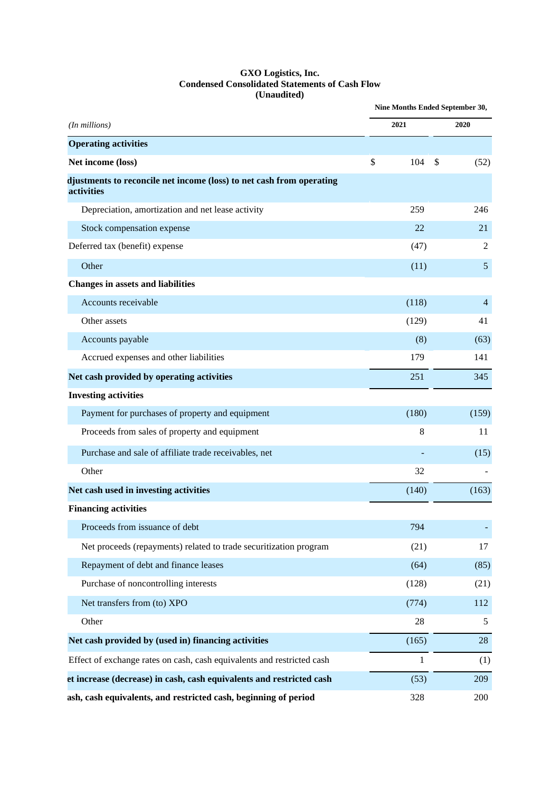#### **GXO Logistics, Inc. Condensed Consolidated Statements of Cash Flow (Unaudited)**

|                                                                                    | Nine Months Ended September 30, |                |
|------------------------------------------------------------------------------------|---------------------------------|----------------|
| (In millions)                                                                      | 2021                            | 2020           |
| <b>Operating activities</b>                                                        |                                 |                |
| Net income (loss)                                                                  | \$<br>104                       | \$<br>(52)     |
| djustments to reconcile net income (loss) to net cash from operating<br>activities |                                 |                |
| Depreciation, amortization and net lease activity                                  | 259                             | 246            |
| Stock compensation expense                                                         | 22                              | 21             |
| Deferred tax (benefit) expense                                                     | (47)                            | $\overline{c}$ |
| Other                                                                              | (11)                            | 5              |
| <b>Changes in assets and liabilities</b>                                           |                                 |                |
| Accounts receivable                                                                | (118)                           | $\overline{4}$ |
| Other assets                                                                       | (129)                           | 41             |
| Accounts payable                                                                   | (8)                             | (63)           |
| Accrued expenses and other liabilities                                             | 179                             | 141            |
| Net cash provided by operating activities                                          | 251                             | 345            |
| <b>Investing activities</b>                                                        |                                 |                |
| Payment for purchases of property and equipment                                    | (180)                           | (159)          |
| Proceeds from sales of property and equipment                                      | 8                               | 11             |
| Purchase and sale of affiliate trade receivables, net                              |                                 | (15)           |
| Other                                                                              | 32                              |                |
| Net cash used in investing activities                                              | (140)                           | (163)          |
| <b>Financing activities</b>                                                        |                                 |                |
| Proceeds from issuance of debt                                                     | 794                             |                |
| Net proceeds (repayments) related to trade securitization program                  | (21)                            | 17             |
| Repayment of debt and finance leases                                               | (64)                            | (85)           |
| Purchase of noncontrolling interests                                               | (128)                           | (21)           |
| Net transfers from (to) XPO                                                        | (774)                           | 112            |
| Other                                                                              | 28                              | 5              |
| Net cash provided by (used in) financing activities                                | (165)                           | 28             |
| Effect of exchange rates on cash, cash equivalents and restricted cash             | 1                               | (1)            |
| et increase (decrease) in cash, cash equivalents and restricted cash               | (53)                            | 209            |
| ash, cash equivalents, and restricted cash, beginning of period                    | 328                             | 200            |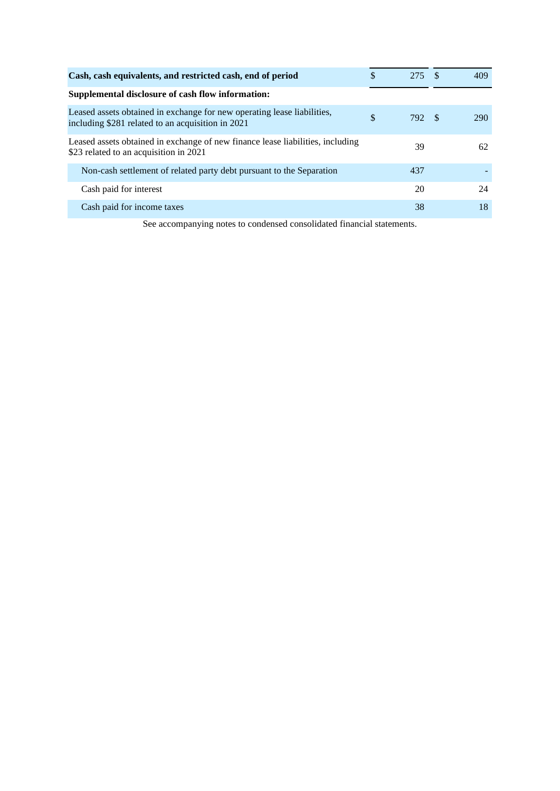| \$<br>Cash, cash equivalents, and restricted cash, end of period                                                                   | 275 | -S   | 409 |
|------------------------------------------------------------------------------------------------------------------------------------|-----|------|-----|
| Supplemental disclosure of cash flow information:                                                                                  |     |      |     |
| Leased assets obtained in exchange for new operating lease liabilities,<br>\$<br>including \$281 related to an acquisition in 2021 | 792 | - \$ | 290 |
| Leased assets obtained in exchange of new finance lease liabilities, including<br>\$23 related to an acquisition in 2021           | 39  |      | 62  |
| Non-cash settlement of related party debt pursuant to the Separation                                                               | 437 |      |     |
| Cash paid for interest                                                                                                             | 20  |      | 24  |
| Cash paid for income taxes                                                                                                         | 38  |      | 18  |

See accompanying notes to condensed consolidated financial statements.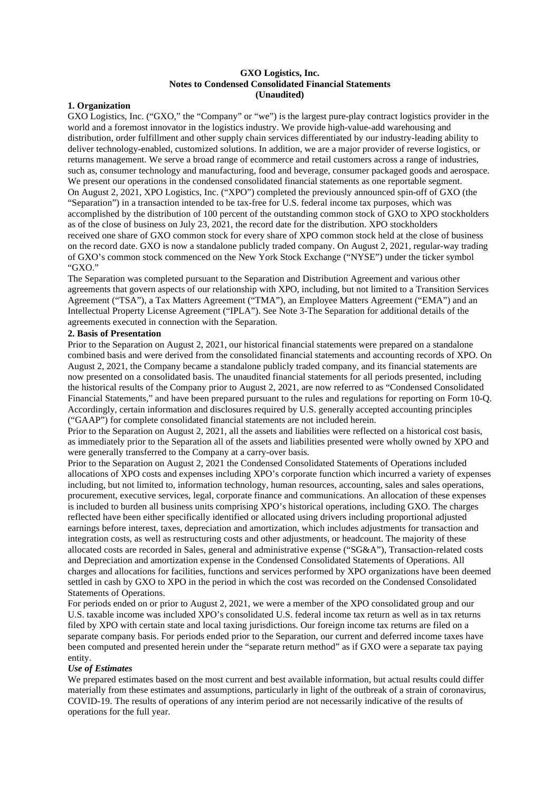#### **GXO Logistics, Inc. Notes to Condensed Consolidated Financial Statements (Unaudited)**

#### **1. Organization**

GXO Logistics, Inc. ("GXO," the "Company" or "we") is the largest pure-play contract logistics provider in the world and a foremost innovator in the logistics industry. We provide high-value-add warehousing and distribution, order fulfillment and other supply chain services differentiated by our industry-leading ability to deliver technology-enabled, customized solutions. In addition, we are a major provider of reverse logistics, or returns management. We serve a broad range of ecommerce and retail customers across a range of industries, such as, consumer technology and manufacturing, food and beverage, consumer packaged goods and aerospace. We present our operations in the condensed consolidated financial statements as one reportable segment. On August 2, 2021, XPO Logistics, Inc. ("XPO") completed the previously announced spin-off of GXO (the "Separation") in a transaction intended to be tax-free for U.S. federal income tax purposes, which was accomplished by the distribution of 100 percent of the outstanding common stock of GXO to XPO stockholders as of the close of business on July 23, 2021, the record date for the distribution. XPO stockholders received one share of GXO common stock for every share of XPO common stock held at the close of business on the record date. GXO is now a standalone publicly traded company. On August 2, 2021, regular-way trading of GXO's common stock commenced on the New York Stock Exchange ("NYSE") under the ticker symbol "GXO."

The Separation was completed pursuant to the Separation and Distribution Agreement and various other agreements that govern aspects of our relationship with XPO, including, but not limited to a Transition Services Agreement ("TSA"), a Tax Matters Agreement ("TMA"), an Employee Matters Agreement ("EMA") and an Intellectual Property License Agreement ("IPLA"). See Note 3-The Separation for additional details of the agreements executed in connection with the Separation.

### **2. Basis of Presentation**

Prior to the Separation on August 2, 2021, our historical financial statements were prepared on a standalone combined basis and were derived from the consolidated financial statements and accounting records of XPO. On August 2, 2021, the Company became a standalone publicly traded company, and its financial statements are now presented on a consolidated basis. The unaudited financial statements for all periods presented, including the historical results of the Company prior to August 2, 2021, are now referred to as "Condensed Consolidated Financial Statements," and have been prepared pursuant to the rules and regulations for reporting on Form 10-Q. Accordingly, certain information and disclosures required by U.S. generally accepted accounting principles ("GAAP") for complete consolidated financial statements are not included herein.

Prior to the Separation on August 2, 2021, all the assets and liabilities were reflected on a historical cost basis, as immediately prior to the Separation all of the assets and liabilities presented were wholly owned by XPO and were generally transferred to the Company at a carry-over basis.

Prior to the Separation on August 2, 2021 the Condensed Consolidated Statements of Operations included allocations of XPO costs and expenses including XPO's corporate function which incurred a variety of expenses including, but not limited to, information technology, human resources, accounting, sales and sales operations, procurement, executive services, legal, corporate finance and communications. An allocation of these expenses is included to burden all business units comprising XPO's historical operations, including GXO. The charges reflected have been either specifically identified or allocated using drivers including proportional adjusted earnings before interest, taxes, depreciation and amortization, which includes adjustments for transaction and integration costs, as well as restructuring costs and other adjustments, or headcount. The majority of these allocated costs are recorded in Sales, general and administrative expense ("SG&A"), Transaction-related costs and Depreciation and amortization expense in the Condensed Consolidated Statements of Operations. All charges and allocations for facilities, functions and services performed by XPO organizations have been deemed settled in cash by GXO to XPO in the period in which the cost was recorded on the Condensed Consolidated Statements of Operations.

For periods ended on or prior to August 2, 2021, we were a member of the XPO consolidated group and our U.S. taxable income was included XPO's consolidated U.S. federal income tax return as well as in tax returns filed by XPO with certain state and local taxing jurisdictions. Our foreign income tax returns are filed on a separate company basis. For periods ended prior to the Separation, our current and deferred income taxes have been computed and presented herein under the "separate return method" as if GXO were a separate tax paying entity.

#### *Use of Estimates*

We prepared estimates based on the most current and best available information, but actual results could differ materially from these estimates and assumptions, particularly in light of the outbreak of a strain of coronavirus, COVID-19. The results of operations of any interim period are not necessarily indicative of the results of operations for the full year.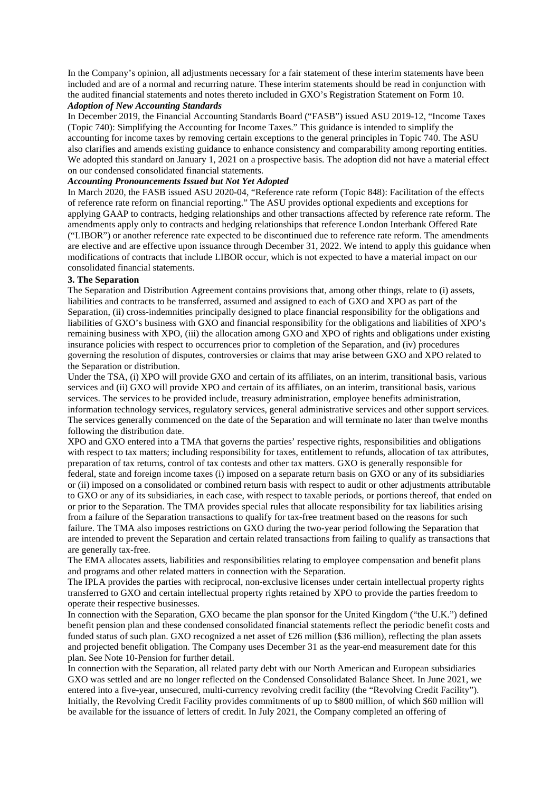In the Company's opinion, all adjustments necessary for a fair statement of these interim statements have been included and are of a normal and recurring nature. These interim statements should be read in conjunction with the audited financial statements and notes thereto included in GXO's Registration Statement on Form 10.

#### *Adoption of New Accounting Standards*

In December 2019, the Financial Accounting Standards Board ("FASB") issued ASU 2019-12, "Income Taxes (Topic 740): Simplifying the Accounting for Income Taxes." This guidance is intended to simplify the accounting for income taxes by removing certain exceptions to the general principles in Topic 740. The ASU also clarifies and amends existing guidance to enhance consistency and comparability among reporting entities. We adopted this standard on January 1, 2021 on a prospective basis. The adoption did not have a material effect on our condensed consolidated financial statements.

# *Accounting Pronouncements Issued but Not Yet Adopted*

In March 2020, the FASB issued ASU 2020-04, "Reference rate reform (Topic 848): Facilitation of the effects of reference rate reform on financial reporting." The ASU provides optional expedients and exceptions for applying GAAP to contracts, hedging relationships and other transactions affected by reference rate reform. The amendments apply only to contracts and hedging relationships that reference London Interbank Offered Rate ("LIBOR") or another reference rate expected to be discontinued due to reference rate reform. The amendments are elective and are effective upon issuance through December 31, 2022. We intend to apply this guidance when modifications of contracts that include LIBOR occur, which is not expected to have a material impact on our consolidated financial statements.

#### **3. The Separation**

The Separation and Distribution Agreement contains provisions that, among other things, relate to (i) assets, liabilities and contracts to be transferred, assumed and assigned to each of GXO and XPO as part of the Separation, (ii) cross-indemnities principally designed to place financial responsibility for the obligations and liabilities of GXO's business with GXO and financial responsibility for the obligations and liabilities of XPO's remaining business with XPO, (iii) the allocation among GXO and XPO of rights and obligations under existing insurance policies with respect to occurrences prior to completion of the Separation, and (iv) procedures governing the resolution of disputes, controversies or claims that may arise between GXO and XPO related to the Separation or distribution.

Under the TSA, (i) XPO will provide GXO and certain of its affiliates, on an interim, transitional basis, various services and (ii) GXO will provide XPO and certain of its affiliates, on an interim, transitional basis, various services. The services to be provided include, treasury administration, employee benefits administration, information technology services, regulatory services, general administrative services and other support services. The services generally commenced on the date of the Separation and will terminate no later than twelve months following the distribution date.

XPO and GXO entered into a TMA that governs the parties' respective rights, responsibilities and obligations with respect to tax matters; including responsibility for taxes, entitlement to refunds, allocation of tax attributes, preparation of tax returns, control of tax contests and other tax matters. GXO is generally responsible for federal, state and foreign income taxes (i) imposed on a separate return basis on GXO or any of its subsidiaries or (ii) imposed on a consolidated or combined return basis with respect to audit or other adjustments attributable to GXO or any of its subsidiaries, in each case, with respect to taxable periods, or portions thereof, that ended on or prior to the Separation. The TMA provides special rules that allocate responsibility for tax liabilities arising from a failure of the Separation transactions to qualify for tax-free treatment based on the reasons for such failure. The TMA also imposes restrictions on GXO during the two-year period following the Separation that are intended to prevent the Separation and certain related transactions from failing to qualify as transactions that are generally tax-free.

The EMA allocates assets, liabilities and responsibilities relating to employee compensation and benefit plans and programs and other related matters in connection with the Separation.

The IPLA provides the parties with reciprocal, non-exclusive licenses under certain intellectual property rights transferred to GXO and certain intellectual property rights retained by XPO to provide the parties freedom to operate their respective businesses.

In connection with the Separation, GXO became the plan sponsor for the United Kingdom ("the U.K.") defined benefit pension plan and these condensed consolidated financial statements reflect the periodic benefit costs and funded status of such plan. GXO recognized a net asset of £26 million (\$36 million), reflecting the plan assets and projected benefit obligation. The Company uses December 31 as the year-end measurement date for this plan. See Note 10-Pension for further detail.

In connection with the Separation, all related party debt with our North American and European subsidiaries GXO was settled and are no longer reflected on the Condensed Consolidated Balance Sheet. In June 2021, we entered into a five-year, unsecured, multi-currency revolving credit facility (the "Revolving Credit Facility"). Initially, the Revolving Credit Facility provides commitments of up to \$800 million, of which \$60 million will be available for the issuance of letters of credit. In July 2021, the Company completed an offering of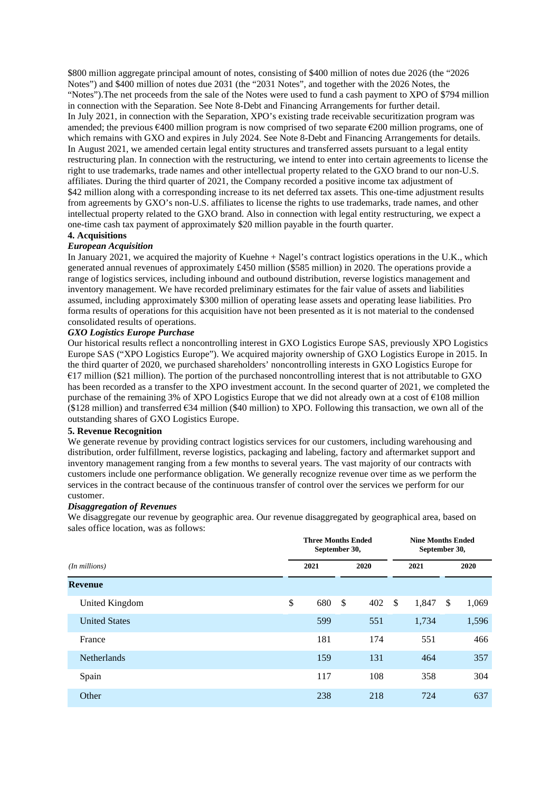\$800 million aggregate principal amount of notes, consisting of \$400 million of notes due 2026 (the "2026 Notes") and \$400 million of notes due 2031 (the "2031 Notes", and together with the 2026 Notes, the "Notes").The net proceeds from the sale of the Notes were used to fund a cash payment to XPO of \$794 million in connection with the Separation. See Note 8-Debt and Financing Arrangements for further detail. In July 2021, in connection with the Separation, XPO's existing trade receivable securitization program was amended; the previous €400 million program is now comprised of two separate €200 million programs, one of which remains with GXO and expires in July 2024. See Note 8-Debt and Financing Arrangements for details. In August 2021, we amended certain legal entity structures and transferred assets pursuant to a legal entity restructuring plan. In connection with the restructuring, we intend to enter into certain agreements to license the right to use trademarks, trade names and other intellectual property related to the GXO brand to our non-U.S. affiliates. During the third quarter of 2021, the Company recorded a positive income tax adjustment of \$42 million along with a corresponding increase to its net deferred tax assets. This one-time adjustment results from agreements by GXO's non-U.S. affiliates to license the rights to use trademarks, trade names, and other intellectual property related to the GXO brand. Also in connection with legal entity restructuring, we expect a one-time cash tax payment of approximately \$20 million payable in the fourth quarter.

## **4. Acquisitions**

### *European Acquisition*

In January 2021, we acquired the majority of Kuehne + Nagel's contract logistics operations in the U.K., which generated annual revenues of approximately £450 million (\$585 million) in 2020. The operations provide a range of logistics services, including inbound and outbound distribution, reverse logistics management and inventory management. We have recorded preliminary estimates for the fair value of assets and liabilities assumed, including approximately \$300 million of operating lease assets and operating lease liabilities. Pro forma results of operations for this acquisition have not been presented as it is not material to the condensed consolidated results of operations.

#### *GXO Logistics Europe Purchase*

Our historical results reflect a noncontrolling interest in GXO Logistics Europe SAS, previously XPO Logistics Europe SAS ("XPO Logistics Europe"). We acquired majority ownership of GXO Logistics Europe in 2015. In the third quarter of 2020, we purchased shareholders' noncontrolling interests in GXO Logistics Europe for  $€17$  million (\$21 million). The portion of the purchased noncontrolling interest that is not attributable to GXO has been recorded as a transfer to the XPO investment account. In the second quarter of 2021, we completed the purchase of the remaining 3% of XPO Logistics Europe that we did not already own at a cost of €108 million  $(128 \text{ million})$  and transferred  $634 \text{ million}$  (\$40 million) to XPO. Following this transaction, we own all of the outstanding shares of GXO Logistics Europe.

#### **5. Revenue Recognition**

We generate revenue by providing contract logistics services for our customers, including warehousing and distribution, order fulfillment, reverse logistics, packaging and labeling, factory and aftermarket support and inventory management ranging from a few months to several years. The vast majority of our contracts with customers include one performance obligation. We generally recognize revenue over time as we perform the services in the contract because of the continuous transfer of control over the services we perform for our customer.

#### *Disaggregation of Revenues*

We disaggregate our revenue by geographic area. Our revenue disaggregated by geographical area, based on sales office location, was as follows:

|                      |    | <b>Three Months Ended</b><br>September 30, |    |      |    | <b>Nine Months Ended</b><br>September 30, |    |       |  |
|----------------------|----|--------------------------------------------|----|------|----|-------------------------------------------|----|-------|--|
| (In millions)        |    | 2021                                       |    | 2020 |    | 2021                                      |    | 2020  |  |
| <b>Revenue</b>       |    |                                            |    |      |    |                                           |    |       |  |
| United Kingdom       | \$ | 680                                        | \$ | 402  | \$ | 1,847                                     | \$ | 1,069 |  |
| <b>United States</b> |    | 599                                        |    | 551  |    | 1,734                                     |    | 1,596 |  |
| France               |    | 181                                        |    | 174  |    | 551                                       |    | 466   |  |
| <b>Netherlands</b>   |    | 159                                        |    | 131  |    | 464                                       |    | 357   |  |
| Spain                |    | 117                                        |    | 108  |    | 358                                       |    | 304   |  |
| Other                |    | 238                                        |    | 218  |    | 724                                       |    | 637   |  |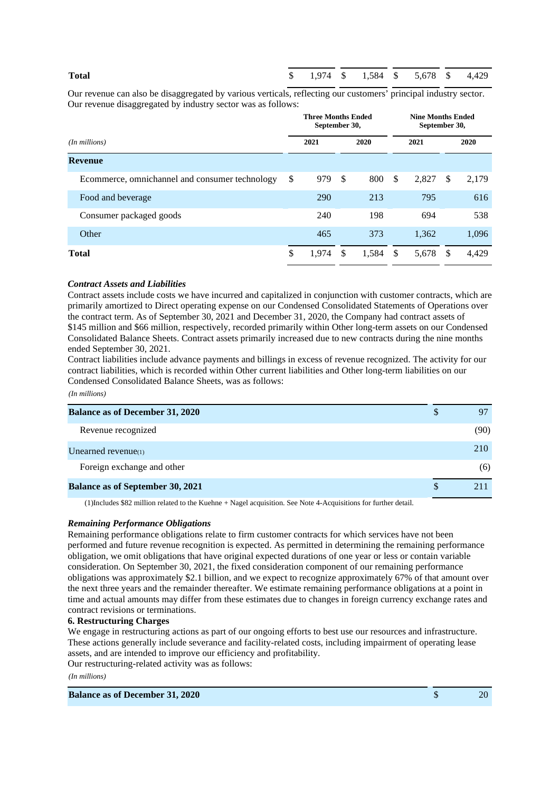# **Total** \$ 1,974 \$ 1,584 \$ 5,678 \$ 4,429

Our revenue can also be disaggregated by various verticals, reflecting our customers' principal industry sector. Our revenue disaggregated by industry sector was as follows:

|                                                | <b>Three Months Ended</b><br>September 30, |               |       |               |       | <b>Nine Months Ended</b><br>September 30, |       |  |
|------------------------------------------------|--------------------------------------------|---------------|-------|---------------|-------|-------------------------------------------|-------|--|
| $(In$ millions $)$                             | 2021                                       |               | 2020  |               | 2021  |                                           | 2020  |  |
| <b>Revenue</b>                                 |                                            |               |       |               |       |                                           |       |  |
| Ecommerce, omnichannel and consumer technology | \$<br>979                                  | <sup>\$</sup> | 800   | \$            | 2,827 | <sup>\$</sup>                             | 2,179 |  |
| Food and beverage                              | 290                                        |               | 213   |               | 795   |                                           | 616   |  |
| Consumer packaged goods                        | 240                                        |               | 198   |               | 694   |                                           | 538   |  |
| Other                                          | 465                                        |               | 373   |               | 1,362 |                                           | 1,096 |  |
| <b>Total</b>                                   | \$<br>1,974                                | $\mathcal{S}$ | 1,584 | <sup>\$</sup> | 5,678 | - \$                                      | 4,429 |  |

#### *Contract Assets and Liabilities*

Contract assets include costs we have incurred and capitalized in conjunction with customer contracts, which are primarily amortized to Direct operating expense on our Condensed Consolidated Statements of Operations over the contract term. As of September 30, 2021 and December 31, 2020, the Company had contract assets of \$145 million and \$66 million, respectively, recorded primarily within Other long-term assets on our Condensed Consolidated Balance Sheets. Contract assets primarily increased due to new contracts during the nine months ended September 30, 2021.

Contract liabilities include advance payments and billings in excess of revenue recognized. The activity for our contract liabilities, which is recorded within Other current liabilities and Other long-term liabilities on our Condensed Consolidated Balance Sheets, was as follows:

*(In millions)*

| <b>Balance as of December 31, 2020</b>  | D |      |
|-----------------------------------------|---|------|
| Revenue recognized                      |   | (90) |
| Unearned revenue(1)                     |   | 210  |
| Foreign exchange and other              |   | (6)  |
| <b>Balance as of September 30, 2021</b> |   |      |

(1)Includes \$82 million related to the Kuehne + Nagel acquisition. See Note 4-Acquisitions for further detail.

#### *Remaining Performance Obligations*

Remaining performance obligations relate to firm customer contracts for which services have not been performed and future revenue recognition is expected. As permitted in determining the remaining performance obligation, we omit obligations that have original expected durations of one year or less or contain variable consideration. On September 30, 2021, the fixed consideration component of our remaining performance obligations was approximately \$2.1 billion, and we expect to recognize approximately 67% of that amount over the next three years and the remainder thereafter. We estimate remaining performance obligations at a point in time and actual amounts may differ from these estimates due to changes in foreign currency exchange rates and contract revisions or terminations.

#### **6. Restructuring Charges**

We engage in restructuring actions as part of our ongoing efforts to best use our resources and infrastructure. These actions generally include severance and facility-related costs, including impairment of operating lease assets, and are intended to improve our efficiency and profitability.

Our restructuring-related activity was as follows:

*(In millions)*

**Balance as of December 31, 2020 5** 20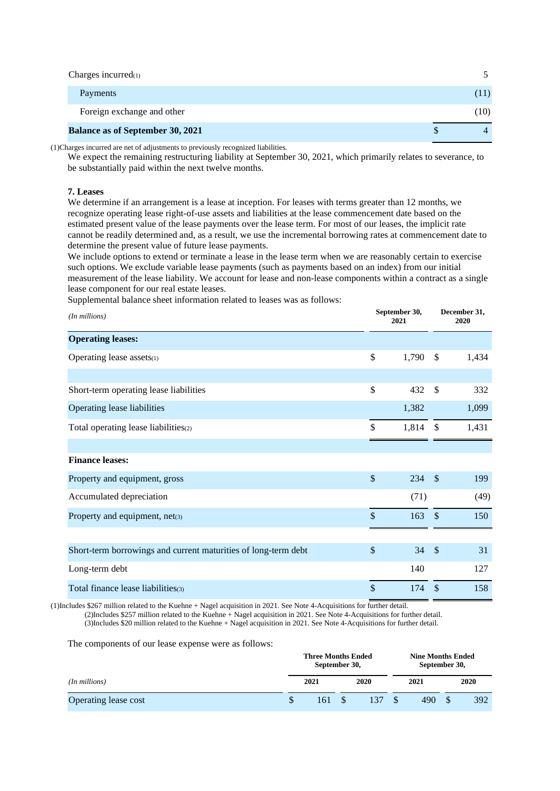| Charges incurred $(1)$                  |      |
|-----------------------------------------|------|
| Payments                                | (11) |
| Foreign exchange and other              | (10) |
| <b>Balance as of September 30, 2021</b> |      |

(1)Charges incurred are net of adjustments to previously recognized liabilities.

We expect the remaining restructuring liability at September 30, 2021, which primarily relates to severance, to be substantially paid within the next twelve months.

#### **7. Leases**

We determine if an arrangement is a lease at inception. For leases with terms greater than 12 months, we recognize operating lease right-of-use assets and liabilities at the lease commencement date based on the estimated present value of the lease payments over the lease term. For most of our leases, the implicit rate cannot be readily determined and, as a result, we use the incremental borrowing rates at commencement date to determine the present value of future lease payments.

We include options to extend or terminate a lease in the lease term when we are reasonably certain to exercise such options. We exclude variable lease payments (such as payments based on an index) from our initial measurement of the lease liability. We account for lease and non-lease components within a contract as a single lease component for our real estate leases.

Supplemental balance sheet information related to leases was as follows:

| (In millions)                                                  |               | September 30,<br>2021 |               | December 31,<br>2020 |  |
|----------------------------------------------------------------|---------------|-----------------------|---------------|----------------------|--|
| <b>Operating leases:</b>                                       |               |                       |               |                      |  |
| Operating lease assets(1)                                      | $\mathbb{S}$  | 1,790                 | <sup>\$</sup> | 1,434                |  |
|                                                                |               |                       |               |                      |  |
| Short-term operating lease liabilities                         | $\mathbb{S}$  | 432                   | $\mathbb{S}$  | 332                  |  |
| Operating lease liabilities                                    |               | 1,382                 |               | 1,099                |  |
| Total operating lease liabilities(2)                           | \$            | $1,814$ \$            |               | 1,431                |  |
|                                                                |               |                       |               |                      |  |
| <b>Finance leases:</b>                                         |               |                       |               |                      |  |
| Property and equipment, gross                                  | $\mathcal{S}$ | 234                   | $\mathcal{S}$ | 199                  |  |
| Accumulated depreciation                                       |               | (71)                  |               | (49)                 |  |
| Property and equipment, net(3)                                 | $\mathbb{S}$  | 163                   | $\mathcal{S}$ | 150                  |  |
|                                                                |               |                       |               |                      |  |
| Short-term borrowings and current maturities of long-term debt | $\mathbb{S}$  | 34                    | $\mathcal{S}$ | 31                   |  |
| Long-term debt                                                 |               | 140                   |               | 127                  |  |
| Total finance lease liabilities(3)                             | \$            | 174                   | $\mathcal{S}$ | 158                  |  |

(1)Includes \$267 million related to the Kuehne + Nagel acquisition in 2021. See Note 4-Acquisitions for further detail.

(2)Includes \$257 million related to the Kuehne + Nagel acquisition in 2021. See Note 4-Acquisitions for further detail.

(3)Includes \$20 million related to the Kuehne + Nagel acquisition in 2021. See Note 4-Acquisitions for further detail.

The components of our lease expense were as follows:

|                      | <b>Three Months Ended</b><br>September 30, |     |  |      | <b>Nine Months Ended</b><br>September 30, |      |  |     |
|----------------------|--------------------------------------------|-----|--|------|-------------------------------------------|------|--|-----|
| $(In$ millions $)$   | 2021<br>2020                               |     |  | 2021 |                                           | 2020 |  |     |
| Operating lease cost | Ф                                          | 161 |  | 137  |                                           | 490  |  | 392 |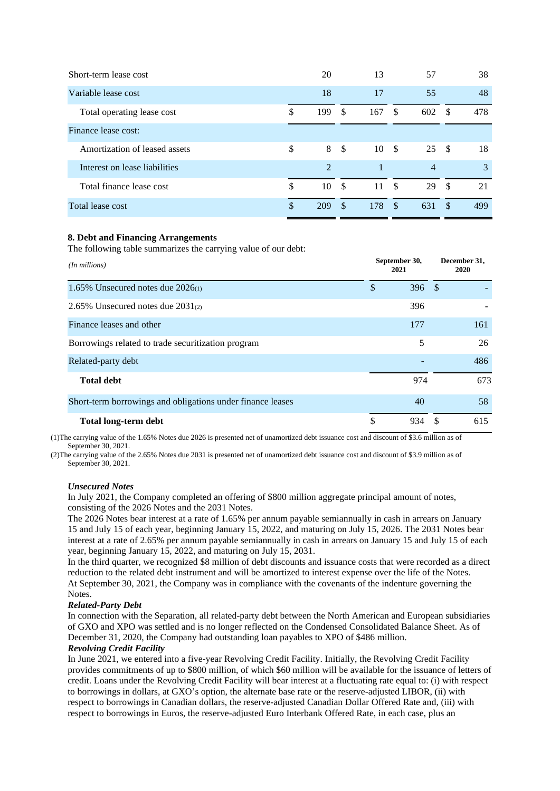| 20             |      | 13   |               | 57       |               | 38         |
|----------------|------|------|---------------|----------|---------------|------------|
| 18             |      | 17   |               | 55       |               | 48         |
| \$<br>199      | -\$  | 167  | -S            | 602      | -S            | 478        |
|                |      |      |               |          |               |            |
| \$             |      | 10   |               |          |               | 18         |
| $\mathfrak{D}$ |      |      |               | 4        |               | 3          |
| \$<br>10       | - \$ | 11   | $\mathbf{s}$  | 29       | -S            | 21         |
| \$<br>209      | \$   | 178  | $\mathcal{S}$ | 631      | <sup>\$</sup> | 499        |
|                |      | 8 \$ |               | <b>S</b> |               | $25 \quad$ |

#### **8. Debt and Financing Arrangements**

The following table summarizes the carrying value of our debt:

| (In millions)                                              |               | September 30,<br>2021 |     | December 31,<br>2020 |
|------------------------------------------------------------|---------------|-----------------------|-----|----------------------|
| 1.65% Unsecured notes due $2026(1)$                        | $\mathcal{S}$ | 396                   | -\$ |                      |
| 2.65% Unsecured notes due $2031_{(2)}$                     |               | 396                   |     |                      |
| Finance leases and other                                   |               | 177                   |     | 161                  |
| Borrowings related to trade securitization program         |               | 5                     |     | 26                   |
| Related-party debt                                         |               |                       |     | 486                  |
| <b>Total debt</b>                                          |               | 974                   |     | 673                  |
| Short-term borrowings and obligations under finance leases |               | 40                    |     | 58                   |
| <b>Total long-term debt</b>                                | \$            | 934                   |     | 615                  |

(1)The carrying value of the 1.65% Notes due 2026 is presented net of unamortized debt issuance cost and discount of \$3.6 million as of September 30, 2021.

(2)The carrying value of the 2.65% Notes due 2031 is presented net of unamortized debt issuance cost and discount of \$3.9 million as of September 30, 2021.

#### *Unsecured Notes*

In July 2021, the Company completed an offering of \$800 million aggregate principal amount of notes, consisting of the 2026 Notes and the 2031 Notes.

The 2026 Notes bear interest at a rate of 1.65% per annum payable semiannually in cash in arrears on January 15 and July 15 of each year, beginning January 15, 2022, and maturing on July 15, 2026. The 2031 Notes bear interest at a rate of 2.65% per annum payable semiannually in cash in arrears on January 15 and July 15 of each year, beginning January 15, 2022, and maturing on July 15, 2031.

In the third quarter, we recognized \$8 million of debt discounts and issuance costs that were recorded as a direct reduction to the related debt instrument and will be amortized to interest expense over the life of the Notes. At September 30, 2021, the Company was in compliance with the covenants of the indenture governing the Notes.

#### *Related-Party Debt*

In connection with the Separation, all related-party debt between the North American and European subsidiaries of GXO and XPO was settled and is no longer reflected on the Condensed Consolidated Balance Sheet. As of December 31, 2020, the Company had outstanding loan payables to XPO of \$486 million.

#### *Revolving Credit Facility*

In June 2021, we entered into a five-year Revolving Credit Facility. Initially, the Revolving Credit Facility provides commitments of up to \$800 million, of which \$60 million will be available for the issuance of letters of credit. Loans under the Revolving Credit Facility will bear interest at a fluctuating rate equal to: (i) with respect to borrowings in dollars, at GXO's option, the alternate base rate or the reserve-adjusted LIBOR, (ii) with respect to borrowings in Canadian dollars, the reserve-adjusted Canadian Dollar Offered Rate and, (iii) with respect to borrowings in Euros, the reserve-adjusted Euro Interbank Offered Rate, in each case, plus an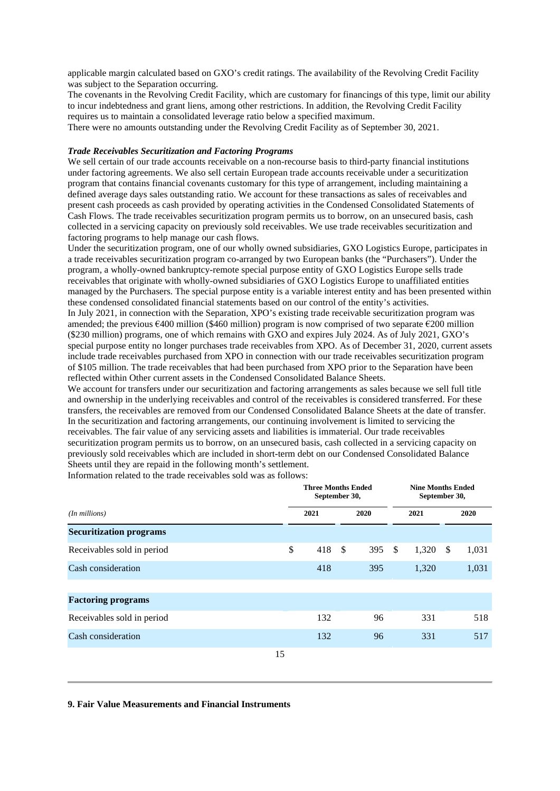applicable margin calculated based on GXO's credit ratings. The availability of the Revolving Credit Facility was subject to the Separation occurring.

The covenants in the Revolving Credit Facility, which are customary for financings of this type, limit our ability to incur indebtedness and grant liens, among other restrictions. In addition, the Revolving Credit Facility requires us to maintain a consolidated leverage ratio below a specified maximum.

There were no amounts outstanding under the Revolving Credit Facility as of September 30, 2021.

#### *Trade Receivables Securitization and Factoring Programs*

We sell certain of our trade accounts receivable on a non-recourse basis to third-party financial institutions under factoring agreements. We also sell certain European trade accounts receivable under a securitization program that contains financial covenants customary for this type of arrangement, including maintaining a defined average days sales outstanding ratio. We account for these transactions as sales of receivables and present cash proceeds as cash provided by operating activities in the Condensed Consolidated Statements of Cash Flows. The trade receivables securitization program permits us to borrow, on an unsecured basis, cash collected in a servicing capacity on previously sold receivables. We use trade receivables securitization and factoring programs to help manage our cash flows.

Under the securitization program, one of our wholly owned subsidiaries, GXO Logistics Europe, participates in a trade receivables securitization program co-arranged by two European banks (the "Purchasers"). Under the program, a wholly-owned bankruptcy-remote special purpose entity of GXO Logistics Europe sells trade receivables that originate with wholly-owned subsidiaries of GXO Logistics Europe to unaffiliated entities managed by the Purchasers. The special purpose entity is a variable interest entity and has been presented within these condensed consolidated financial statements based on our control of the entity's activities. In July 2021, in connection with the Separation, XPO's existing trade receivable securitization program was amended; the previous €400 million (\$460 million) program is now comprised of two separate €200 million (\$230 million) programs, one of which remains with GXO and expires July 2024. As of July 2021, GXO's special purpose entity no longer purchases trade receivables from XPO. As of December 31, 2020, current assets include trade receivables purchased from XPO in connection with our trade receivables securitization program of \$105 million. The trade receivables that had been purchased from XPO prior to the Separation have been reflected within Other current assets in the Condensed Consolidated Balance Sheets.

We account for transfers under our securitization and factoring arrangements as sales because we sell full title and ownership in the underlying receivables and control of the receivables is considered transferred. For these transfers, the receivables are removed from our Condensed Consolidated Balance Sheets at the date of transfer. In the securitization and factoring arrangements, our continuing involvement is limited to servicing the receivables. The fair value of any servicing assets and liabilities is immaterial. Our trade receivables securitization program permits us to borrow, on an unsecured basis, cash collected in a servicing capacity on previously sold receivables which are included in short-term debt on our Condensed Consolidated Balance Sheets until they are repaid in the following month's settlement.

Information related to the trade receivables sold was as follows:

|                                |    | <b>Three Months Ended</b><br>September 30, |     |      |              | <b>Nine Months Ended</b><br>September 30, |    |       |
|--------------------------------|----|--------------------------------------------|-----|------|--------------|-------------------------------------------|----|-------|
| (In millions)                  |    | 2021                                       |     | 2020 |              | 2021                                      |    | 2020  |
| <b>Securitization programs</b> |    |                                            |     |      |              |                                           |    |       |
| Receivables sold in period     | \$ | 418                                        | -\$ | 395  | $\mathbb{S}$ | 1,320                                     | -S | 1,031 |
| Cash consideration             |    | 418                                        |     | 395  |              | 1,320                                     |    | 1,031 |
| <b>Factoring programs</b>      |    |                                            |     |      |              |                                           |    |       |
| Receivables sold in period     |    | 132                                        |     | 96   |              | 331                                       |    | 518   |
| Cash consideration             |    | 132                                        |     | 96   |              | 331                                       |    | 517   |
|                                | 15 |                                            |     |      |              |                                           |    |       |

#### **9. Fair Value Measurements and Financial Instruments**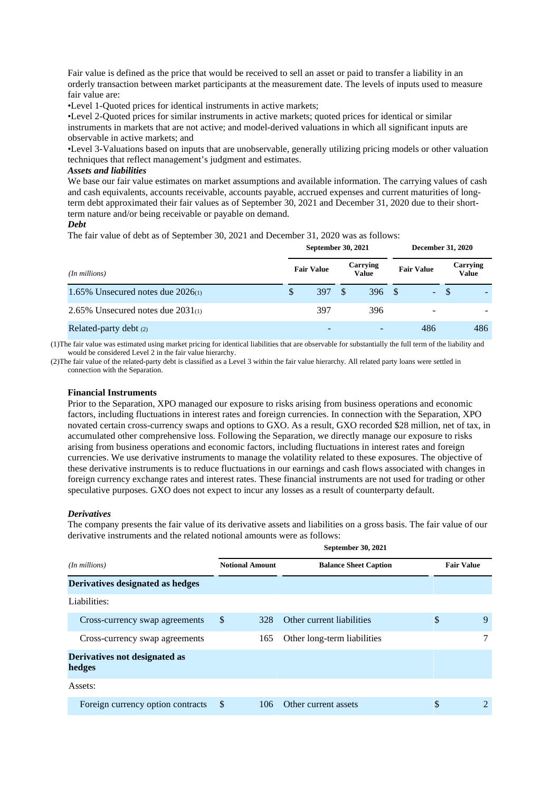Fair value is defined as the price that would be received to sell an asset or paid to transfer a liability in an orderly transaction between market participants at the measurement date. The levels of inputs used to measure fair value are:

•Level 1-Quoted prices for identical instruments in active markets;

•Level 2-Quoted prices for similar instruments in active markets; quoted prices for identical or similar instruments in markets that are not active; and model-derived valuations in which all significant inputs are observable in active markets; and

•Level 3-Valuations based on inputs that are unobservable, generally utilizing pricing models or other valuation techniques that reflect management's judgment and estimates.

#### *Assets and liabilities*

We base our fair value estimates on market assumptions and available information. The carrying values of cash and cash equivalents, accounts receivable, accounts payable, accrued expenses and current maturities of longterm debt approximated their fair values as of September 30, 2021 and December 31, 2020 due to their shortterm nature and/or being receivable or payable on demand.

#### *Debt*

The fair value of debt as of September 30, 2021 and December 31, 2020 was as follows:

|                                        | September 30, 2021 |                   |     |                          |  | <b>December 31, 2020</b> |  |                          |  |
|----------------------------------------|--------------------|-------------------|-----|--------------------------|--|--------------------------|--|--------------------------|--|
| (In millions)                          |                    | <b>Fair Value</b> |     | Carrying<br><b>Value</b> |  | <b>Fair Value</b>        |  | Carrying<br><b>Value</b> |  |
| 1.65% Unsecured notes due $2026(1)$    | \$.                | 397               | -\$ | 396S                     |  | $- S$                    |  |                          |  |
| 2.65% Unsecured notes due $2031_{(1)}$ |                    | 397               |     | 396                      |  | $\overline{\phantom{a}}$ |  |                          |  |
| Related-party debt $(2)$               |                    |                   |     |                          |  | 486                      |  | 486                      |  |

(1)The fair value was estimated using market pricing for identical liabilities that are observable for substantially the full term of the liability and would be considered Level 2 in the fair value hierarchy.

(2)The fair value of the related-party debt is classified as a Level 3 within the fair value hierarchy. All related party loans were settled in connection with the Separation.

#### **Financial Instruments**

Prior to the Separation, XPO managed our exposure to risks arising from business operations and economic factors, including fluctuations in interest rates and foreign currencies. In connection with the Separation, XPO novated certain cross-currency swaps and options to GXO. As a result, GXO recorded \$28 million, net of tax, in accumulated other comprehensive loss. Following the Separation, we directly manage our exposure to risks arising from business operations and economic factors, including fluctuations in interest rates and foreign currencies. We use derivative instruments to manage the volatility related to these exposures. The objective of these derivative instruments is to reduce fluctuations in our earnings and cash flows associated with changes in foreign currency exchange rates and interest rates. These financial instruments are not used for trading or other speculative purposes. GXO does not expect to incur any losses as a result of counterparty default.

#### *Derivatives*

The company presents the fair value of its derivative assets and liabilities on a gross basis. The fair value of our derivative instruments and the related notional amounts were as follows:

|                                         |               |                        | <b>September 30, 2021</b>    |                   |
|-----------------------------------------|---------------|------------------------|------------------------------|-------------------|
| (In millions)                           |               | <b>Notional Amount</b> | <b>Balance Sheet Caption</b> | <b>Fair Value</b> |
| Derivatives designated as hedges        |               |                        |                              |                   |
| Liabilities:                            |               |                        |                              |                   |
| Cross-currency swap agreements          | \$            | 328                    | Other current liabilities    | \$<br>9           |
| Cross-currency swap agreements          |               | 165                    | Other long-term liabilities  | 7                 |
| Derivatives not designated as<br>hedges |               |                        |                              |                   |
| Assets:                                 |               |                        |                              |                   |
| Foreign currency option contracts       | <sup>\$</sup> | 106                    | Other current assets         | \$<br>2           |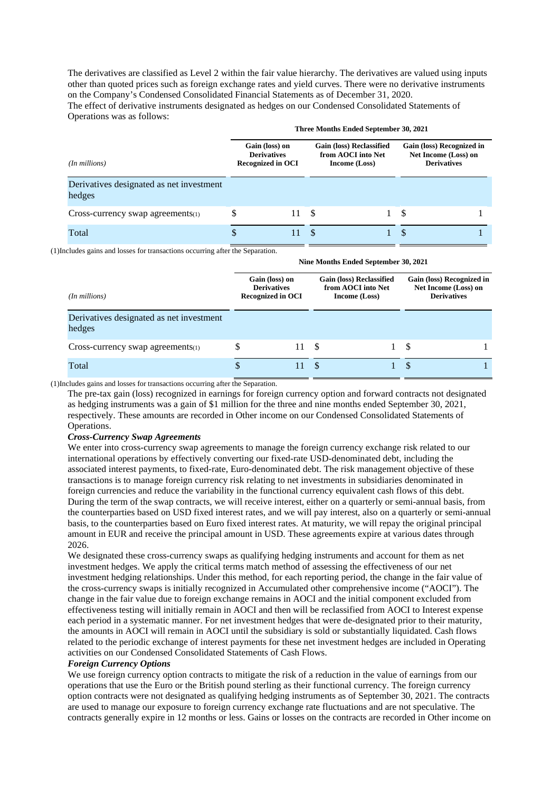The derivatives are classified as Level 2 within the fair value hierarchy. The derivatives are valued using inputs other than quoted prices such as foreign exchange rates and yield curves. There were no derivative instruments on the Company's Condensed Consolidated Financial Statements as of December 31, 2020. The effect of derivative instruments designated as hedges on our Condensed Consolidated Statements of Operations was as follows:

|                                                    | Three Months Ended September 30, 2021                            |    |    |                                                                        |                                                                         |  |  |  |  |
|----------------------------------------------------|------------------------------------------------------------------|----|----|------------------------------------------------------------------------|-------------------------------------------------------------------------|--|--|--|--|
| (In millions)                                      | Gain (loss) on<br><b>Derivatives</b><br><b>Recognized in OCI</b> |    |    | <b>Gain (loss) Reclassified</b><br>from AOCI into Net<br>Income (Loss) | Gain (loss) Recognized in<br>Net Income (Loss) on<br><b>Derivatives</b> |  |  |  |  |
| Derivatives designated as net investment<br>hedges |                                                                  |    |    |                                                                        |                                                                         |  |  |  |  |
| $Cross-currency swap agreements(1)$                | S                                                                | 11 | -S |                                                                        | -S                                                                      |  |  |  |  |
| Total                                              | \$                                                               | 11 |    |                                                                        | <b>S</b>                                                                |  |  |  |  |

(1)Includes gains and losses for transactions occurring after the Separation.

|                                                    | Nine Months Ended September 30, 2021                                                                                                       |    |     |  |                                                                         |  |  |  |  |  |
|----------------------------------------------------|--------------------------------------------------------------------------------------------------------------------------------------------|----|-----|--|-------------------------------------------------------------------------|--|--|--|--|--|
| (In millions)                                      | <b>Gain (loss) Reclassified</b><br>Gain (loss) on<br>from AOCI into Net<br><b>Derivatives</b><br><b>Recognized in OCI</b><br>Income (Loss) |    |     |  | Gain (loss) Recognized in<br>Net Income (Loss) on<br><b>Derivatives</b> |  |  |  |  |  |
| Derivatives designated as net investment<br>hedges |                                                                                                                                            |    |     |  |                                                                         |  |  |  |  |  |
| $Cross-currency swap agreements(1)$                | S                                                                                                                                          | 11 | -S  |  | S                                                                       |  |  |  |  |  |
| Total                                              | S                                                                                                                                          |    | \$. |  | S                                                                       |  |  |  |  |  |

(1)Includes gains and losses for transactions occurring after the Separation.

The pre-tax gain (loss) recognized in earnings for foreign currency option and forward contracts not designated as hedging instruments was a gain of \$1 million for the three and nine months ended September 30, 2021, respectively. These amounts are recorded in Other income on our Condensed Consolidated Statements of Operations.

#### *Cross-Currency Swap Agreements*

We enter into cross-currency swap agreements to manage the foreign currency exchange risk related to our international operations by effectively converting our fixed-rate USD-denominated debt, including the associated interest payments, to fixed-rate, Euro-denominated debt. The risk management objective of these transactions is to manage foreign currency risk relating to net investments in subsidiaries denominated in foreign currencies and reduce the variability in the functional currency equivalent cash flows of this debt. During the term of the swap contracts, we will receive interest, either on a quarterly or semi-annual basis, from the counterparties based on USD fixed interest rates, and we will pay interest, also on a quarterly or semi-annual basis, to the counterparties based on Euro fixed interest rates. At maturity, we will repay the original principal amount in EUR and receive the principal amount in USD. These agreements expire at various dates through 2026.

We designated these cross-currency swaps as qualifying hedging instruments and account for them as net investment hedges. We apply the critical terms match method of assessing the effectiveness of our net investment hedging relationships. Under this method, for each reporting period, the change in the fair value of the cross-currency swaps is initially recognized in Accumulated other comprehensive income ("AOCI"). The change in the fair value due to foreign exchange remains in AOCI and the initial component excluded from effectiveness testing will initially remain in AOCI and then will be reclassified from AOCI to Interest expense each period in a systematic manner. For net investment hedges that were de-designated prior to their maturity, the amounts in AOCI will remain in AOCI until the subsidiary is sold or substantially liquidated. Cash flows related to the periodic exchange of interest payments for these net investment hedges are included in Operating activities on our Condensed Consolidated Statements of Cash Flows.

#### *Foreign Currency Options*

We use foreign currency option contracts to mitigate the risk of a reduction in the value of earnings from our operations that use the Euro or the British pound sterling as their functional currency. The foreign currency option contracts were not designated as qualifying hedging instruments as of September 30, 2021. The contracts are used to manage our exposure to foreign currency exchange rate fluctuations and are not speculative. The contracts generally expire in 12 months or less. Gains or losses on the contracts are recorded in Other income on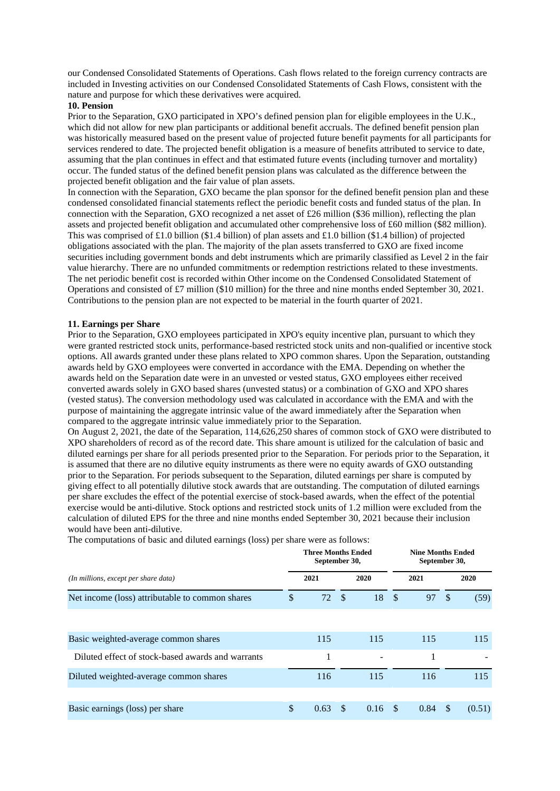our Condensed Consolidated Statements of Operations. Cash flows related to the foreign currency contracts are included in Investing activities on our Condensed Consolidated Statements of Cash Flows, consistent with the nature and purpose for which these derivatives were acquired.

#### **10. Pension**

Prior to the Separation, GXO participated in XPO's defined pension plan for eligible employees in the U.K., which did not allow for new plan participants or additional benefit accruals. The defined benefit pension plan was historically measured based on the present value of projected future benefit payments for all participants for services rendered to date. The projected benefit obligation is a measure of benefits attributed to service to date, assuming that the plan continues in effect and that estimated future events (including turnover and mortality) occur. The funded status of the defined benefit pension plans was calculated as the difference between the projected benefit obligation and the fair value of plan assets.

In connection with the Separation, GXO became the plan sponsor for the defined benefit pension plan and these condensed consolidated financial statements reflect the periodic benefit costs and funded status of the plan. In connection with the Separation, GXO recognized a net asset of £26 million (\$36 million), reflecting the plan assets and projected benefit obligation and accumulated other comprehensive loss of £60 million (\$82 million). This was comprised of £1.0 billion (\$1.4 billion) of plan assets and £1.0 billion (\$1.4 billion) of projected obligations associated with the plan. The majority of the plan assets transferred to GXO are fixed income securities including government bonds and debt instruments which are primarily classified as Level 2 in the fair value hierarchy. There are no unfunded commitments or redemption restrictions related to these investments. The net periodic benefit cost is recorded within Other income on the Condensed Consolidated Statement of Operations and consisted of £7 million (\$10 million) for the three and nine months ended September 30, 2021. Contributions to the pension plan are not expected to be material in the fourth quarter of 2021.

#### **11. Earnings per Share**

Prior to the Separation, GXO employees participated in XPO's equity incentive plan, pursuant to which they were granted restricted stock units, performance-based restricted stock units and non-qualified or incentive stock options. All awards granted under these plans related to XPO common shares. Upon the Separation, outstanding awards held by GXO employees were converted in accordance with the EMA. Depending on whether the awards held on the Separation date were in an unvested or vested status, GXO employees either received converted awards solely in GXO based shares (unvested status) or a combination of GXO and XPO shares (vested status). The conversion methodology used was calculated in accordance with the EMA and with the purpose of maintaining the aggregate intrinsic value of the award immediately after the Separation when compared to the aggregate intrinsic value immediately prior to the Separation.

On August 2, 2021, the date of the Separation, 114,626,250 shares of common stock of GXO were distributed to XPO shareholders of record as of the record date. This share amount is utilized for the calculation of basic and diluted earnings per share for all periods presented prior to the Separation. For periods prior to the Separation, it is assumed that there are no dilutive equity instruments as there were no equity awards of GXO outstanding prior to the Separation. For periods subsequent to the Separation, diluted earnings per share is computed by giving effect to all potentially dilutive stock awards that are outstanding. The computation of diluted earnings per share excludes the effect of the potential exercise of stock-based awards, when the effect of the potential exercise would be anti-dilutive. Stock options and restricted stock units of 1.2 million were excluded from the calculation of diluted EPS for the three and nine months ended September 30, 2021 because their inclusion would have been anti-dilutive.

|                                                   |    | <b>Three Months Ended</b><br>September 30, |    |      |               | <b>Nine Months Ended</b><br>September 30, |               |        |  |  |
|---------------------------------------------------|----|--------------------------------------------|----|------|---------------|-------------------------------------------|---------------|--------|--|--|
| (In millions, except per share data)              |    | 2021                                       |    | 2020 |               | 2021                                      |               | 2020   |  |  |
| Net income (loss) attributable to common shares   | \$ | 72S                                        |    | 18   | $\mathcal{S}$ | 97                                        | <sup>\$</sup> | (59)   |  |  |
|                                                   |    |                                            |    |      |               |                                           |               |        |  |  |
| Basic weighted-average common shares              |    | 115                                        |    | 115  |               | 115                                       |               | 115    |  |  |
| Diluted effect of stock-based awards and warrants |    |                                            |    |      |               |                                           |               |        |  |  |
| Diluted weighted-average common shares            |    | 116                                        |    | 115  |               | 116                                       |               | 115    |  |  |
|                                                   |    |                                            |    |      |               |                                           |               |        |  |  |
| Basic earnings (loss) per share                   | \$ | 0.63                                       | \$ | 0.16 | -S            | 0.84                                      | S             | (0.51) |  |  |

The computations of basic and diluted earnings (loss) per share were as follows: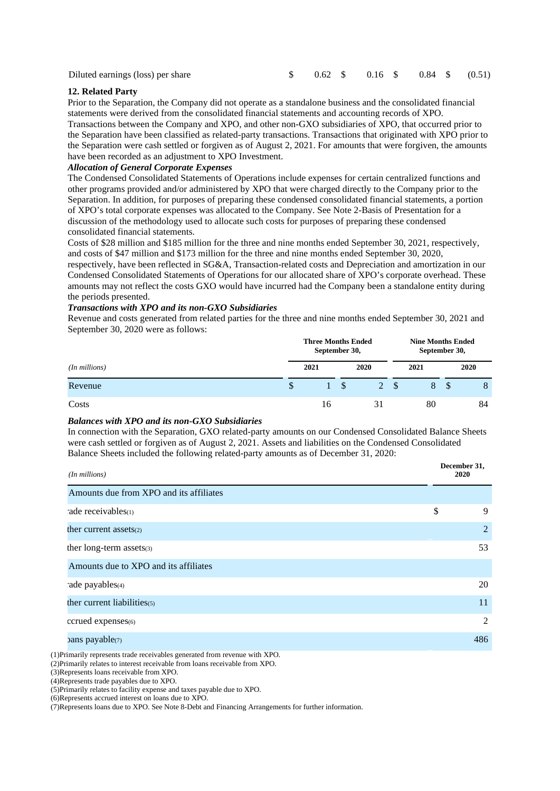| Diluted earnings (loss) per share |  | $$0.62 \quad $0.16 \quad $0.84 \quad $0.51)$ |  |  |  |
|-----------------------------------|--|----------------------------------------------|--|--|--|
|                                   |  |                                              |  |  |  |

#### **12. Related Party**

Prior to the Separation, the Company did not operate as a standalone business and the consolidated financial statements were derived from the consolidated financial statements and accounting records of XPO.

Transactions between the Company and XPO, and other non-GXO subsidiaries of XPO, that occurred prior to the Separation have been classified as related-party transactions. Transactions that originated with XPO prior to the Separation were cash settled or forgiven as of August 2, 2021. For amounts that were forgiven, the amounts have been recorded as an adjustment to XPO Investment.

#### *Allocation of General Corporate Expenses*

The Condensed Consolidated Statements of Operations include expenses for certain centralized functions and other programs provided and/or administered by XPO that were charged directly to the Company prior to the Separation. In addition, for purposes of preparing these condensed consolidated financial statements, a portion of XPO's total corporate expenses was allocated to the Company. See Note 2-Basis of Presentation for a discussion of the methodology used to allocate such costs for purposes of preparing these condensed consolidated financial statements.

Costs of \$28 million and \$185 million for the three and nine months ended September 30, 2021, respectively, and costs of \$47 million and \$173 million for the three and nine months ended September 30, 2020,

respectively, have been reflected in SG&A, Transaction-related costs and Depreciation and amortization in our Condensed Consolidated Statements of Operations for our allocated share of XPO's corporate overhead. These amounts may not reflect the costs GXO would have incurred had the Company been a standalone entity during the periods presented.

#### *Transactions with XPO and its non-GXO Subsidiaries*

Revenue and costs generated from related parties for the three and nine months ended September 30, 2021 and September 30, 2020 were as follows:

|                    |              | <b>Three Months Ended</b><br>September 30, |  |                |      | <b>Nine Months Ended</b><br>September 30, |  |         |  |
|--------------------|--------------|--------------------------------------------|--|----------------|------|-------------------------------------------|--|---------|--|
| $(In$ millions $)$ | 2021         |                                            |  | 2020           |      | 2021                                      |  | 2020    |  |
| Revenue            | $\mathbb{S}$ | a sa sa                                    |  | $\overline{2}$ | - \$ | 8                                         |  | $\circ$ |  |
| Costs              |              | 16                                         |  | 31             |      | 80                                        |  | 84      |  |

#### *Balances with XPO and its non-GXO Subsidiaries*

In connection with the Separation, GXO related-party amounts on our Condensed Consolidated Balance Sheets were cash settled or forgiven as of August 2, 2021. Assets and liabilities on the Condensed Consolidated Balance Sheets included the following related-party amounts as of December 31, 2020:

| $(In$ millions $)$                                                          |    | December 31,<br>2020 |
|-----------------------------------------------------------------------------|----|----------------------|
| Amounts due from XPO and its affiliates                                     |    |                      |
| ade receivables(1)                                                          | \$ | 9                    |
| ther current assets(2)                                                      |    | 2                    |
| ther long-term assets(3)                                                    |    | 53                   |
| Amounts due to XPO and its affiliates                                       |    |                      |
| ade payables(4)                                                             |    | 20                   |
| ther current liabilities $(5)$                                              |    | 11                   |
| ccrued expenses(6)                                                          |    | 2                    |
| bans payable(7)                                                             |    | 486                  |
| (1) Primarily represents trade receivables generated from revenue with XPO. |    |                      |

(2)Primarily relates to interest receivable from loans receivable from XPO.

(3)Represents loans receivable from XPO.

(4)Represents trade payables due to XPO.

(5)Primarily relates to facility expense and taxes payable due to XPO.

(6)Represents accrued interest on loans due to XPO.

(7)Represents loans due to XPO. See Note 8-Debt and Financing Arrangements for further information.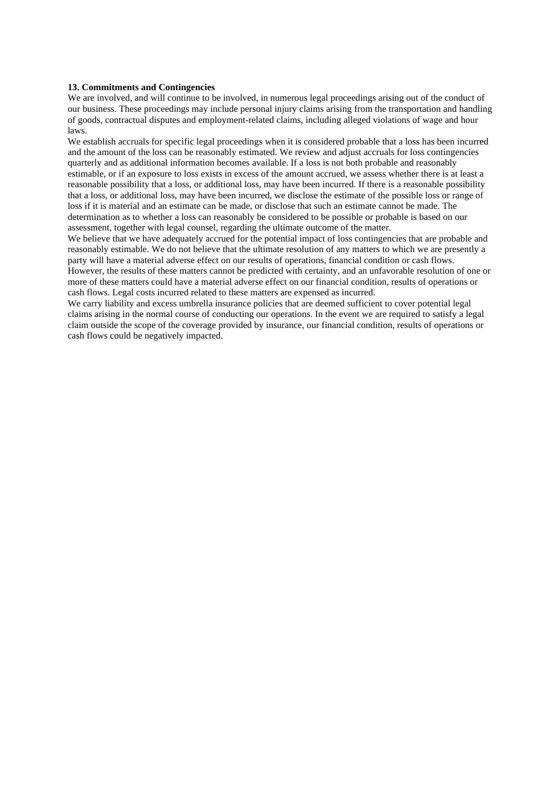#### **13. Commitments and Contingencies**

We are involved, and will continue to be involved, in numerous legal proceedings arising out of the conduct of our business. These proceedings may include personal injury claims arising from the transportation and handling of goods, contractual disputes and employment-related claims, including alleged violations of wage and hour laws.

We establish accruals for specific legal proceedings when it is considered probable that a loss has been incurred and the amount of the loss can be reasonably estimated. We review and adjust accruals for loss contingencies quarterly and as additional information becomes available. If a loss is not both probable and reasonably estimable, or if an exposure to loss exists in excess of the amount accrued, we assess whether there is at least a reasonable possibility that a loss, or additional loss, may have been incurred. If there is a reasonable possibility that a loss, or additional loss, may have been incurred, we disclose the estimate of the possible loss or range of loss if it is material and an estimate can be made, or disclose that such an estimate cannot be made. The determination as to whether a loss can reasonably be considered to be possible or probable is based on our assessment, together with legal counsel, regarding the ultimate outcome of the matter.

We believe that we have adequately accrued for the potential impact of loss contingencies that are probable and reasonably estimable. We do not believe that the ultimate resolution of any matters to which we are presently a party will have a material adverse effect on our results of operations, financial condition or cash flows.

However, the results of these matters cannot be predicted with certainty, and an unfavorable resolution of one or more of these matters could have a material adverse effect on our financial condition, results of operations or cash flows. Legal costs incurred related to these matters are expensed as incurred.

We carry liability and excess umbrella insurance policies that are deemed sufficient to cover potential legal claims arising in the normal course of conducting our operations. In the event we are required to satisfy a legal claim outside the scope of the coverage provided by insurance, our financial condition, results of operations or cash flows could be negatively impacted.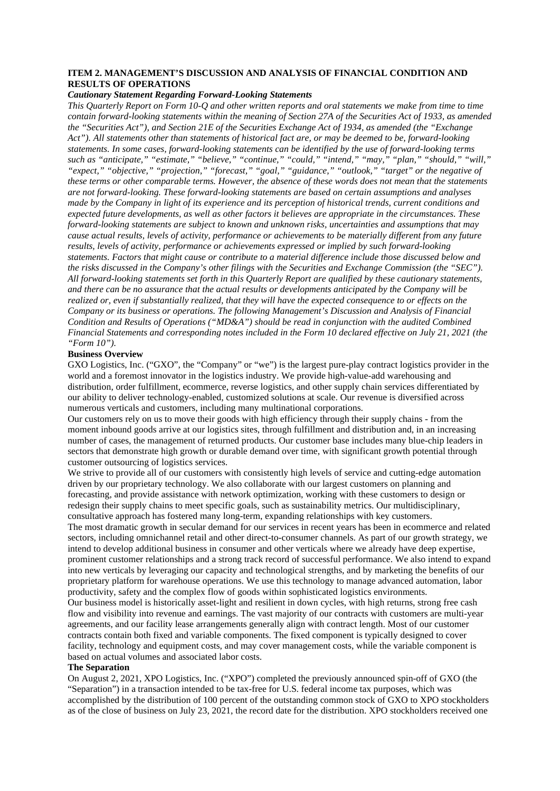#### **ITEM 2. MANAGEMENT'S DISCUSSION AND ANALYSIS OF FINANCIAL CONDITION AND RESULTS OF OPERATIONS**

#### *Cautionary Statement Regarding Forward-Looking Statements*

*This Quarterly Report on Form 10-Q and other written reports and oral statements we make from time to time contain forward-looking statements within the meaning of Section 27A of the Securities Act of 1933, as amended the "Securities Act"), and Section 21E of the Securities Exchange Act of 1934, as amended (the "Exchange Act"). All statements other than statements of historical fact are, or may be deemed to be, forward-looking statements. In some cases, forward-looking statements can be identified by the use of forward-looking terms such as "anticipate," "estimate," "believe," "continue," "could," "intend," "may," "plan," "should," "will," "expect," "objective," "projection," "forecast," "goal," "guidance," "outlook," "target" or the negative of these terms or other comparable terms. However, the absence of these words does not mean that the statements are not forward-looking. These forward-looking statements are based on certain assumptions and analyses made by the Company in light of its experience and its perception of historical trends, current conditions and expected future developments, as well as other factors it believes are appropriate in the circumstances. These forward-looking statements are subject to known and unknown risks, uncertainties and assumptions that may cause actual results, levels of activity, performance or achievements to be materially different from any future results, levels of activity, performance or achievements expressed or implied by such forward-looking statements. Factors that might cause or contribute to a material difference include those discussed below and the risks discussed in the Company's other filings with the Securities and Exchange Commission (the "SEC"). All forward-looking statements set forth in this Quarterly Report are qualified by these cautionary statements, and there can be no assurance that the actual results or developments anticipated by the Company will be realized or, even if substantially realized, that they will have the expected consequence to or effects on the Company or its business or operations. The following Management's Discussion and Analysis of Financial Condition and Results of Operations ("MD&A") should be read in conjunction with the audited Combined Financial Statements and corresponding notes included in the Form 10 declared effective on July 21, 2021 (the "Form 10").*

#### **Business Overview**

GXO Logistics, Inc. ("GXO", the "Company" or "we") is the largest pure-play contract logistics provider in the world and a foremost innovator in the logistics industry. We provide high-value-add warehousing and distribution, order fulfillment, ecommerce, reverse logistics, and other supply chain services differentiated by our ability to deliver technology-enabled, customized solutions at scale. Our revenue is diversified across numerous verticals and customers, including many multinational corporations.

Our customers rely on us to move their goods with high efficiency through their supply chains - from the moment inbound goods arrive at our logistics sites, through fulfillment and distribution and, in an increasing number of cases, the management of returned products. Our customer base includes many blue-chip leaders in sectors that demonstrate high growth or durable demand over time, with significant growth potential through customer outsourcing of logistics services.

We strive to provide all of our customers with consistently high levels of service and cutting-edge automation driven by our proprietary technology. We also collaborate with our largest customers on planning and forecasting, and provide assistance with network optimization, working with these customers to design or redesign their supply chains to meet specific goals, such as sustainability metrics. Our multidisciplinary, consultative approach has fostered many long-term, expanding relationships with key customers. The most dramatic growth in secular demand for our services in recent years has been in ecommerce and related sectors, including omnichannel retail and other direct-to-consumer channels. As part of our growth strategy, we intend to develop additional business in consumer and other verticals where we already have deep expertise, prominent customer relationships and a strong track record of successful performance. We also intend to expand into new verticals by leveraging our capacity and technological strengths, and by marketing the benefits of our proprietary platform for warehouse operations. We use this technology to manage advanced automation, labor productivity, safety and the complex flow of goods within sophisticated logistics environments.

Our business model is historically asset-light and resilient in down cycles, with high returns, strong free cash flow and visibility into revenue and earnings. The vast majority of our contracts with customers are multi-year agreements, and our facility lease arrangements generally align with contract length. Most of our customer contracts contain both fixed and variable components. The fixed component is typically designed to cover facility, technology and equipment costs, and may cover management costs, while the variable component is based on actual volumes and associated labor costs.

#### **The Separation**

On August 2, 2021, XPO Logistics, Inc. ("XPO") completed the previously announced spin-off of GXO (the "Separation") in a transaction intended to be tax-free for U.S. federal income tax purposes, which was accomplished by the distribution of 100 percent of the outstanding common stock of GXO to XPO stockholders as of the close of business on July 23, 2021, the record date for the distribution. XPO stockholders received one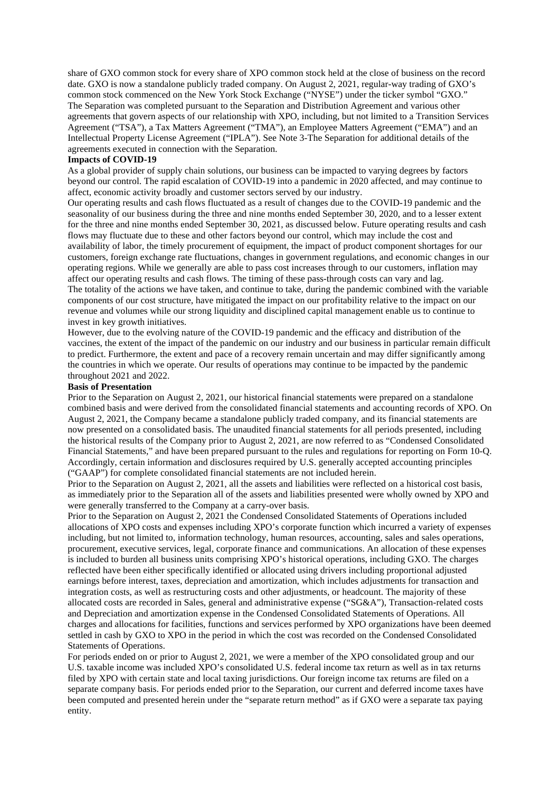share of GXO common stock for every share of XPO common stock held at the close of business on the record date. GXO is now a standalone publicly traded company. On August 2, 2021, regular-way trading of GXO's common stock commenced on the New York Stock Exchange ("NYSE") under the ticker symbol "GXO." The Separation was completed pursuant to the Separation and Distribution Agreement and various other agreements that govern aspects of our relationship with XPO, including, but not limited to a Transition Services Agreement ("TSA"), a Tax Matters Agreement ("TMA"), an Employee Matters Agreement ("EMA") and an Intellectual Property License Agreement ("IPLA"). See Note 3-The Separation for additional details of the agreements executed in connection with the Separation.

#### **Impacts of COVID-19**

As a global provider of supply chain solutions, our business can be impacted to varying degrees by factors beyond our control. The rapid escalation of COVID-19 into a pandemic in 2020 affected, and may continue to affect, economic activity broadly and customer sectors served by our industry.

Our operating results and cash flows fluctuated as a result of changes due to the COVID-19 pandemic and the seasonality of our business during the three and nine months ended September 30, 2020, and to a lesser extent for the three and nine months ended September 30, 2021, as discussed below. Future operating results and cash flows may fluctuate due to these and other factors beyond our control, which may include the cost and availability of labor, the timely procurement of equipment, the impact of product component shortages for our customers, foreign exchange rate fluctuations, changes in government regulations, and economic changes in our operating regions. While we generally are able to pass cost increases through to our customers, inflation may affect our operating results and cash flows. The timing of these pass-through costs can vary and lag. The totality of the actions we have taken, and continue to take, during the pandemic combined with the variable components of our cost structure, have mitigated the impact on our profitability relative to the impact on our revenue and volumes while our strong liquidity and disciplined capital management enable us to continue to invest in key growth initiatives.

However, due to the evolving nature of the COVID-19 pandemic and the efficacy and distribution of the vaccines, the extent of the impact of the pandemic on our industry and our business in particular remain difficult to predict. Furthermore, the extent and pace of a recovery remain uncertain and may differ significantly among the countries in which we operate. Our results of operations may continue to be impacted by the pandemic throughout 2021 and 2022.

#### **Basis of Presentation**

Prior to the Separation on August 2, 2021, our historical financial statements were prepared on a standalone combined basis and were derived from the consolidated financial statements and accounting records of XPO. On August 2, 2021, the Company became a standalone publicly traded company, and its financial statements are now presented on a consolidated basis. The unaudited financial statements for all periods presented, including the historical results of the Company prior to August 2, 2021, are now referred to as "Condensed Consolidated Financial Statements," and have been prepared pursuant to the rules and regulations for reporting on Form 10-Q. Accordingly, certain information and disclosures required by U.S. generally accepted accounting principles ("GAAP") for complete consolidated financial statements are not included herein.

Prior to the Separation on August 2, 2021, all the assets and liabilities were reflected on a historical cost basis, as immediately prior to the Separation all of the assets and liabilities presented were wholly owned by XPO and were generally transferred to the Company at a carry-over basis.

Prior to the Separation on August 2, 2021 the Condensed Consolidated Statements of Operations included allocations of XPO costs and expenses including XPO's corporate function which incurred a variety of expenses including, but not limited to, information technology, human resources, accounting, sales and sales operations, procurement, executive services, legal, corporate finance and communications. An allocation of these expenses is included to burden all business units comprising XPO's historical operations, including GXO. The charges reflected have been either specifically identified or allocated using drivers including proportional adjusted earnings before interest, taxes, depreciation and amortization, which includes adjustments for transaction and integration costs, as well as restructuring costs and other adjustments, or headcount. The majority of these allocated costs are recorded in Sales, general and administrative expense ("SG&A"), Transaction-related costs and Depreciation and amortization expense in the Condensed Consolidated Statements of Operations. All charges and allocations for facilities, functions and services performed by XPO organizations have been deemed settled in cash by GXO to XPO in the period in which the cost was recorded on the Condensed Consolidated Statements of Operations.

For periods ended on or prior to August 2, 2021, we were a member of the XPO consolidated group and our U.S. taxable income was included XPO's consolidated U.S. federal income tax return as well as in tax returns filed by XPO with certain state and local taxing jurisdictions. Our foreign income tax returns are filed on a separate company basis. For periods ended prior to the Separation, our current and deferred income taxes have been computed and presented herein under the "separate return method" as if GXO were a separate tax paying entity.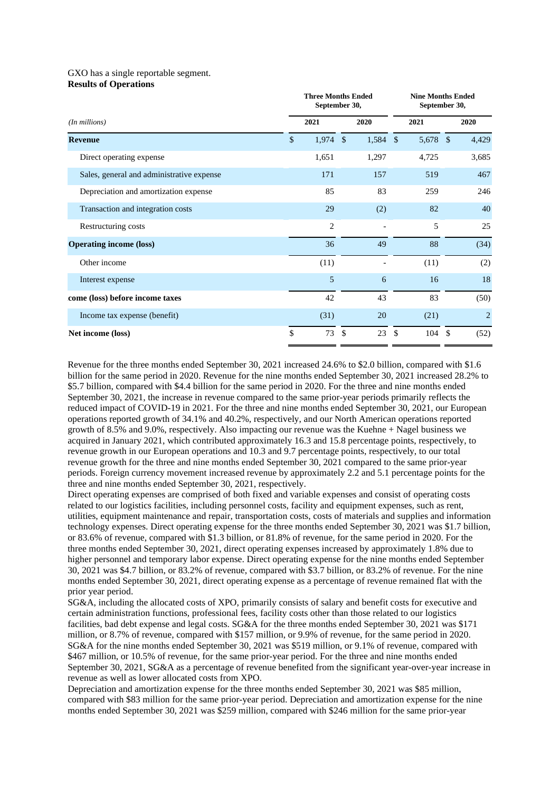#### GXO has a single reportable segment. **Results of Operations**

|                                           | <b>Three Months Ended</b><br>September 30, |                |               | <b>Nine Months Ended</b><br>September 30, |     |       |    |                |
|-------------------------------------------|--------------------------------------------|----------------|---------------|-------------------------------------------|-----|-------|----|----------------|
| $(In$ millions $)$                        |                                            | 2021           |               | 2020                                      |     | 2021  |    | 2020           |
| <b>Revenue</b>                            | \$                                         | 1,974          | $\mathcal{S}$ | 1,584 \$                                  |     | 5,678 | \$ | 4,429          |
| Direct operating expense                  |                                            | 1,651          |               | 1,297                                     |     | 4,725 |    | 3,685          |
| Sales, general and administrative expense |                                            | 171            |               | 157                                       |     | 519   |    | 467            |
| Depreciation and amortization expense     |                                            | 85             |               | 83                                        |     | 259   |    | 246            |
| Transaction and integration costs         |                                            | 29             |               | (2)                                       |     | 82    |    | 40             |
| Restructuring costs                       |                                            | $\overline{c}$ |               |                                           |     | 5     |    | 25             |
| <b>Operating income (loss)</b>            |                                            | 36             |               | 49                                        |     | 88    |    | (34)           |
| Other income                              |                                            | (11)           |               |                                           |     | (11)  |    | (2)            |
| Interest expense                          |                                            | 5              |               | 6                                         |     | 16    |    | 18             |
| come (loss) before income taxes           |                                            | 42             |               | 43                                        |     | 83    |    | (50)           |
| Income tax expense (benefit)              |                                            | (31)           |               | 20                                        |     | (21)  |    | $\overline{2}$ |
| Net income (loss)                         | \$                                         | 73             | \$            | 23                                        | -\$ | 104   | \$ | (52)           |

Revenue for the three months ended September 30, 2021 increased 24.6% to \$2.0 billion, compared with \$1.6 billion for the same period in 2020. Revenue for the nine months ended September 30, 2021 increased 28.2% to \$5.7 billion, compared with \$4.4 billion for the same period in 2020. For the three and nine months ended September 30, 2021, the increase in revenue compared to the same prior-year periods primarily reflects the reduced impact of COVID-19 in 2021. For the three and nine months ended September 30, 2021, our European operations reported growth of 34.1% and 40.2%, respectively, and our North American operations reported growth of 8.5% and 9.0%, respectively. Also impacting our revenue was the Kuehne + Nagel business we acquired in January 2021, which contributed approximately 16.3 and 15.8 percentage points, respectively, to revenue growth in our European operations and 10.3 and 9.7 percentage points, respectively, to our total revenue growth for the three and nine months ended September 30, 2021 compared to the same prior-year periods. Foreign currency movement increased revenue by approximately 2.2 and 5.1 percentage points for the three and nine months ended September 30, 2021, respectively.

Direct operating expenses are comprised of both fixed and variable expenses and consist of operating costs related to our logistics facilities, including personnel costs, facility and equipment expenses, such as rent, utilities, equipment maintenance and repair, transportation costs, costs of materials and supplies and information technology expenses. Direct operating expense for the three months ended September 30, 2021 was \$1.7 billion, or 83.6% of revenue, compared with \$1.3 billion, or 81.8% of revenue, for the same period in 2020. For the three months ended September 30, 2021, direct operating expenses increased by approximately 1.8% due to higher personnel and temporary labor expense. Direct operating expense for the nine months ended September 30, 2021 was \$4.7 billion, or 83.2% of revenue, compared with \$3.7 billion, or 83.2% of revenue. For the nine months ended September 30, 2021, direct operating expense as a percentage of revenue remained flat with the prior year period.

SG&A, including the allocated costs of XPO, primarily consists of salary and benefit costs for executive and certain administration functions, professional fees, facility costs other than those related to our logistics facilities, bad debt expense and legal costs. SG&A for the three months ended September 30, 2021 was \$171 million, or 8.7% of revenue, compared with \$157 million, or 9.9% of revenue, for the same period in 2020. SG&A for the nine months ended September 30, 2021 was \$519 million, or 9.1% of revenue, compared with \$467 million, or 10.5% of revenue, for the same prior-year period. For the three and nine months ended September 30, 2021, SG&A as a percentage of revenue benefited from the significant year-over-year increase in revenue as well as lower allocated costs from XPO.

Depreciation and amortization expense for the three months ended September 30, 2021 was \$85 million, compared with \$83 million for the same prior-year period. Depreciation and amortization expense for the nine months ended September 30, 2021 was \$259 million, compared with \$246 million for the same prior-year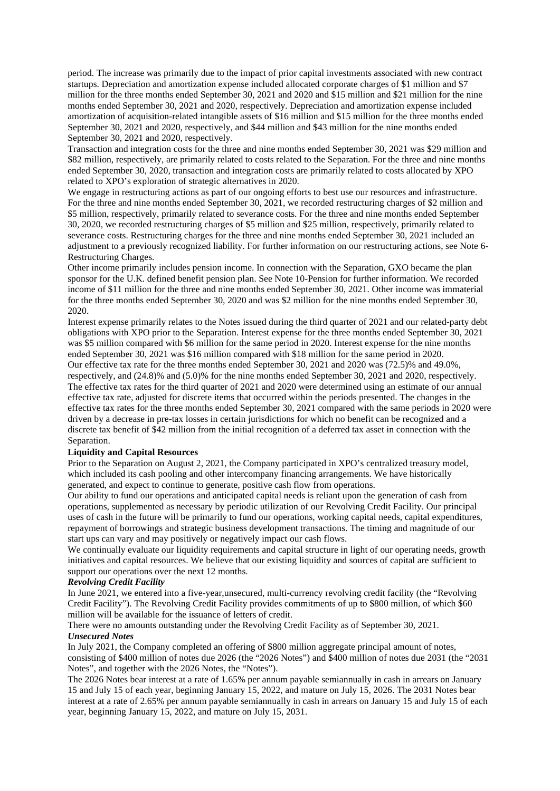period. The increase was primarily due to the impact of prior capital investments associated with new contract startups. Depreciation and amortization expense included allocated corporate charges of \$1 million and \$7 million for the three months ended September 30, 2021 and 2020 and \$15 million and \$21 million for the nine months ended September 30, 2021 and 2020, respectively. Depreciation and amortization expense included amortization of acquisition-related intangible assets of \$16 million and \$15 million for the three months ended September 30, 2021 and 2020, respectively, and \$44 million and \$43 million for the nine months ended September 30, 2021 and 2020, respectively.

Transaction and integration costs for the three and nine months ended September 30, 2021 was \$29 million and \$82 million, respectively, are primarily related to costs related to the Separation. For the three and nine months ended September 30, 2020, transaction and integration costs are primarily related to costs allocated by XPO related to XPO's exploration of strategic alternatives in 2020.

We engage in restructuring actions as part of our ongoing efforts to best use our resources and infrastructure. For the three and nine months ended September 30, 2021, we recorded restructuring charges of \$2 million and \$5 million, respectively, primarily related to severance costs. For the three and nine months ended September 30, 2020, we recorded restructuring charges of \$5 million and \$25 million, respectively, primarily related to severance costs. Restructuring charges for the three and nine months ended September 30, 2021 included an adjustment to a previously recognized liability. For further information on our restructuring actions, see Note 6- Restructuring Charges.

Other income primarily includes pension income. In connection with the Separation, GXO became the plan sponsor for the U.K. defined benefit pension plan. See Note 10-Pension for further information. We recorded income of \$11 million for the three and nine months ended September 30, 2021. Other income was immaterial for the three months ended September 30, 2020 and was \$2 million for the nine months ended September 30, 2020.

Interest expense primarily relates to the Notes issued during the third quarter of 2021 and our related-party debt obligations with XPO prior to the Separation. Interest expense for the three months ended September 30, 2021 was \$5 million compared with \$6 million for the same period in 2020. Interest expense for the nine months ended September 30, 2021 was \$16 million compared with \$18 million for the same period in 2020.

Our effective tax rate for the three months ended September 30, 2021 and 2020 was (72.5)% and 49.0%, respectively, and (24.8)% and (5.0)% for the nine months ended September 30, 2021 and 2020, respectively. The effective tax rates for the third quarter of 2021 and 2020 were determined using an estimate of our annual effective tax rate, adjusted for discrete items that occurred within the periods presented. The changes in the effective tax rates for the three months ended September 30, 2021 compared with the same periods in 2020 were driven by a decrease in pre-tax losses in certain jurisdictions for which no benefit can be recognized and a discrete tax benefit of \$42 million from the initial recognition of a deferred tax asset in connection with the Separation.

#### **Liquidity and Capital Resources**

Prior to the Separation on August 2, 2021, the Company participated in XPO's centralized treasury model, which included its cash pooling and other intercompany financing arrangements. We have historically generated, and expect to continue to generate, positive cash flow from operations.

Our ability to fund our operations and anticipated capital needs is reliant upon the generation of cash from operations, supplemented as necessary by periodic utilization of our Revolving Credit Facility. Our principal uses of cash in the future will be primarily to fund our operations, working capital needs, capital expenditures, repayment of borrowings and strategic business development transactions. The timing and magnitude of our start ups can vary and may positively or negatively impact our cash flows.

We continually evaluate our liquidity requirements and capital structure in light of our operating needs, growth initiatives and capital resources. We believe that our existing liquidity and sources of capital are sufficient to support our operations over the next 12 months.

#### *Revolving Credit Facility*

In June 2021, we entered into a five-year,unsecured, multi-currency revolving credit facility (the "Revolving Credit Facility"). The Revolving Credit Facility provides commitments of up to \$800 million, of which \$60 million will be available for the issuance of letters of credit.

There were no amounts outstanding under the Revolving Credit Facility as of September 30, 2021. *Unsecured Notes*

In July 2021, the Company completed an offering of \$800 million aggregate principal amount of notes, consisting of \$400 million of notes due 2026 (the "2026 Notes") and \$400 million of notes due 2031 (the "2031 Notes", and together with the 2026 Notes, the "Notes").

The 2026 Notes bear interest at a rate of 1.65% per annum payable semiannually in cash in arrears on January 15 and July 15 of each year, beginning January 15, 2022, and mature on July 15, 2026. The 2031 Notes bear interest at a rate of 2.65% per annum payable semiannually in cash in arrears on January 15 and July 15 of each year, beginning January 15, 2022, and mature on July 15, 2031.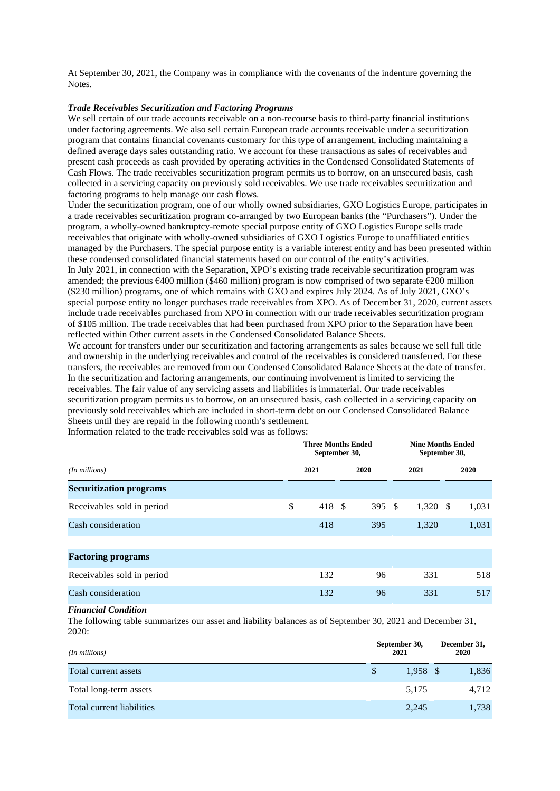At September 30, 2021, the Company was in compliance with the covenants of the indenture governing the **Notes**.

#### *Trade Receivables Securitization and Factoring Programs*

We sell certain of our trade accounts receivable on a non-recourse basis to third-party financial institutions under factoring agreements. We also sell certain European trade accounts receivable under a securitization program that contains financial covenants customary for this type of arrangement, including maintaining a defined average days sales outstanding ratio. We account for these transactions as sales of receivables and present cash proceeds as cash provided by operating activities in the Condensed Consolidated Statements of Cash Flows. The trade receivables securitization program permits us to borrow, on an unsecured basis, cash collected in a servicing capacity on previously sold receivables. We use trade receivables securitization and factoring programs to help manage our cash flows.

Under the securitization program, one of our wholly owned subsidiaries, GXO Logistics Europe, participates in a trade receivables securitization program co-arranged by two European banks (the "Purchasers"). Under the program, a wholly-owned bankruptcy-remote special purpose entity of GXO Logistics Europe sells trade receivables that originate with wholly-owned subsidiaries of GXO Logistics Europe to unaffiliated entities managed by the Purchasers. The special purpose entity is a variable interest entity and has been presented within these condensed consolidated financial statements based on our control of the entity's activities.

In July 2021, in connection with the Separation, XPO's existing trade receivable securitization program was amended; the previous €400 million (\$460 million) program is now comprised of two separate €200 million (\$230 million) programs, one of which remains with GXO and expires July 2024. As of July 2021, GXO's special purpose entity no longer purchases trade receivables from XPO. As of December 31, 2020, current assets include trade receivables purchased from XPO in connection with our trade receivables securitization program of \$105 million. The trade receivables that had been purchased from XPO prior to the Separation have been reflected within Other current assets in the Condensed Consolidated Balance Sheets.

We account for transfers under our securitization and factoring arrangements as sales because we sell full title and ownership in the underlying receivables and control of the receivables is considered transferred. For these transfers, the receivables are removed from our Condensed Consolidated Balance Sheets at the date of transfer. In the securitization and factoring arrangements, our continuing involvement is limited to servicing the receivables. The fair value of any servicing assets and liabilities is immaterial. Our trade receivables securitization program permits us to borrow, on an unsecured basis, cash collected in a servicing capacity on previously sold receivables which are included in short-term debt on our Condensed Consolidated Balance Sheets until they are repaid in the following month's settlement.

**Three Months Ended September 30, Nine Months Ended September 30,** *(In millions)* **2021 2020 2021 2020 Securitization programs** Receivables sold in period  $\begin{array}{cccc} \text{8} & 418 & \text{8} & 395 & \text{8} & 1,320 & \text{8} & 1,031 \\ \end{array}$ Cash consideration 1.031 1.031 1.031 1.031 1.031 1.031 1.031 1.031 1.031 1.031 1.031 1.031 1.031 1.031 1.031 1.031 **Factoring programs** Receivables sold in period 132 96 331 518 Cash consideration  $132 \t\t 96 \t\t 331 \t\t 517$ 

Information related to the trade receivables sold was as follows:

#### *Financial Condition*

The following table summarizes our asset and liability balances as of September 30, 2021 and December 31, 2020:

| $(In$ millions $)$        | September 30,<br>2021 |            |  |       |
|---------------------------|-----------------------|------------|--|-------|
| Total current assets      |                       | $1.958$ \$ |  | 1,836 |
| Total long-term assets    |                       | 5,175      |  | 4,712 |
| Total current liabilities |                       | 2,245      |  | 1,738 |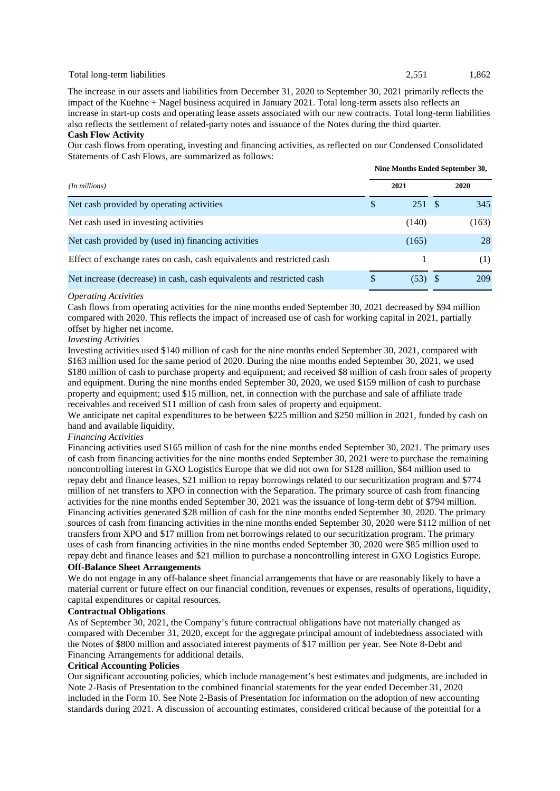#### Total long-term liabilities 2,551 1,862

**Nine Months Ended September 30,**

The increase in our assets and liabilities from December 31, 2020 to September 30, 2021 primarily reflects the impact of the Kuehne + Nagel business acquired in January 2021. Total long-term assets also reflects an increase in start-up costs and operating lease assets associated with our new contracts. Total long-term liabilities also reflects the settlement of related-party notes and issuance of the Notes during the third quarter. **Cash Flow Activity**

Our cash flows from operating, investing and financing activities, as reflected on our Condensed Consolidated Statements of Cash Flows, are summarized as follows:

|                                                                        | Thing information entried bepremioer boy |           |      |       |  |  |  |
|------------------------------------------------------------------------|------------------------------------------|-----------|------|-------|--|--|--|
| $(In$ millions $)$                                                     |                                          | 2021      | 2020 |       |  |  |  |
| Net cash provided by operating activities                              | \$                                       | 251 \$    |      | 345   |  |  |  |
| Net cash used in investing activities                                  |                                          | (140)     |      | (163) |  |  |  |
| Net cash provided by (used in) financing activities                    |                                          | (165)     |      | 28    |  |  |  |
| Effect of exchange rates on cash, cash equivalents and restricted cash |                                          |           |      | (1)   |  |  |  |
| Net increase (decrease) in cash, cash equivalents and restricted cash  | S                                        | $(53)$ \$ |      | 209   |  |  |  |

#### *Operating Activities*

Cash flows from operating activities for the nine months ended September 30, 2021 decreased by \$94 million compared with 2020. This reflects the impact of increased use of cash for working capital in 2021, partially offset by higher net income.

#### *Investing Activities*

Investing activities used \$140 million of cash for the nine months ended September 30, 2021, compared with \$163 million used for the same period of 2020. During the nine months ended September 30, 2021, we used \$180 million of cash to purchase property and equipment; and received \$8 million of cash from sales of property and equipment. During the nine months ended September 30, 2020, we used \$159 million of cash to purchase property and equipment; used \$15 million, net, in connection with the purchase and sale of affiliate trade receivables and received \$11 million of cash from sales of property and equipment.

We anticipate net capital expenditures to be between \$225 million and \$250 million in 2021, funded by cash on hand and available liquidity.

#### *Financing Activities*

Financing activities used \$165 million of cash for the nine months ended September 30, 2021. The primary uses of cash from financing activities for the nine months ended September 30, 2021 were to purchase the remaining noncontrolling interest in GXO Logistics Europe that we did not own for \$128 million, \$64 million used to repay debt and finance leases, \$21 million to repay borrowings related to our securitization program and \$774 million of net transfers to XPO in connection with the Separation. The primary source of cash from financing activities for the nine months ended September 30, 2021 was the issuance of long-term debt of \$794 million. Financing activities generated \$28 million of cash for the nine months ended September 30, 2020. The primary sources of cash from financing activities in the nine months ended September 30, 2020 were \$112 million of net transfers from XPO and \$17 million from net borrowings related to our securitization program. The primary uses of cash from financing activities in the nine months ended September 30, 2020 were \$85 million used to repay debt and finance leases and \$21 million to purchase a noncontrolling interest in GXO Logistics Europe.

#### **Off-Balance Sheet Arrangements**

We do not engage in any off-balance sheet financial arrangements that have or are reasonably likely to have a material current or future effect on our financial condition, revenues or expenses, results of operations, liquidity, capital expenditures or capital resources.

#### **Contractual Obligations**

As of September 30, 2021, the Company's future contractual obligations have not materially changed as compared with December 31, 2020, except for the aggregate principal amount of indebtedness associated with the Notes of \$800 million and associated interest payments of \$17 million per year. See Note 8-Debt and Financing Arrangements for additional details.

### **Critical Accounting Policies**

Our significant accounting policies, which include management's best estimates and judgments, are included in Note 2-Basis of Presentation to the combined financial statements for the year ended December 31, 2020 included in the Form 10. See Note 2-Basis of Presentation for information on the adoption of new accounting standards during 2021. A discussion of accounting estimates, considered critical because of the potential for a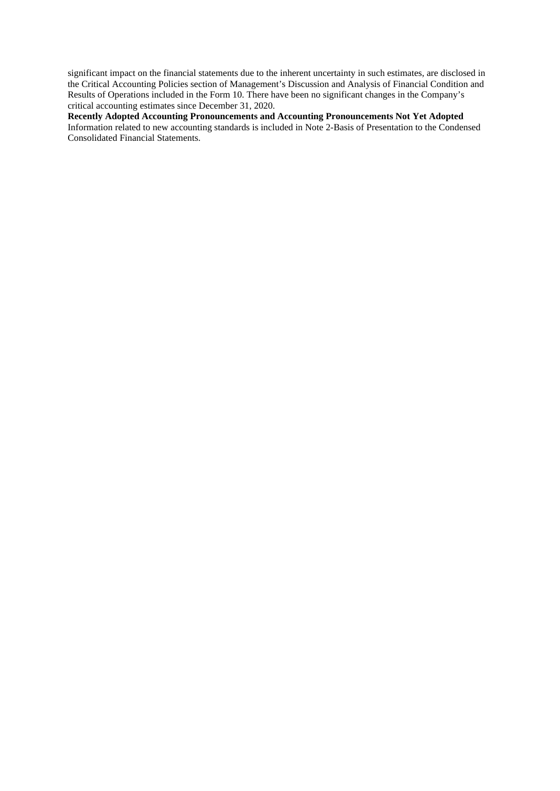significant impact on the financial statements due to the inherent uncertainty in such estimates, are disclosed in the Critical Accounting Policies section of Management's Discussion and Analysis of Financial Condition and Results of Operations included in the Form 10. There have been no significant changes in the Company's critical accounting estimates since December 31, 2020.

**Recently Adopted Accounting Pronouncements and Accounting Pronouncements Not Yet Adopted** Information related to new accounting standards is included in Note 2-Basis of Presentation to the Condensed Consolidated Financial Statements.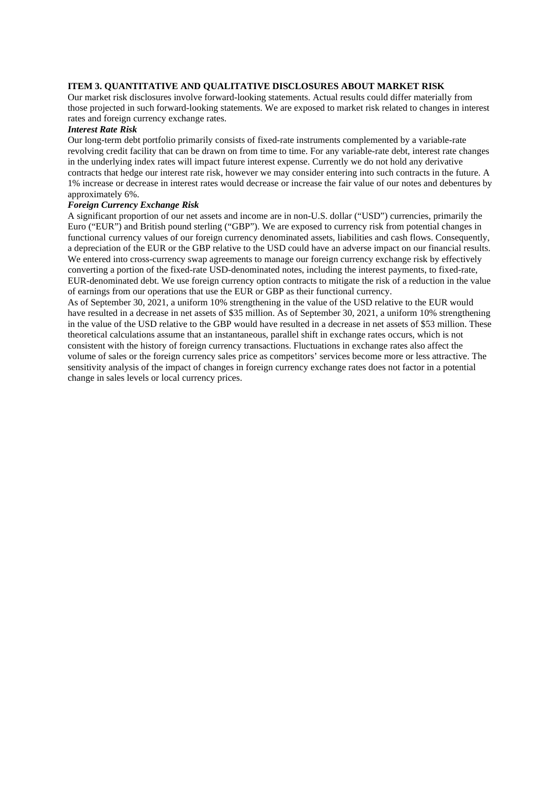#### **ITEM 3. QUANTITATIVE AND QUALITATIVE DISCLOSURES ABOUT MARKET RISK**

Our market risk disclosures involve forward-looking statements. Actual results could differ materially from those projected in such forward-looking statements. We are exposed to market risk related to changes in interest rates and foreign currency exchange rates.

#### *Interest Rate Risk*

Our long-term debt portfolio primarily consists of fixed-rate instruments complemented by a variable-rate revolving credit facility that can be drawn on from time to time. For any variable-rate debt, interest rate changes in the underlying index rates will impact future interest expense. Currently we do not hold any derivative contracts that hedge our interest rate risk, however we may consider entering into such contracts in the future. A 1% increase or decrease in interest rates would decrease or increase the fair value of our notes and debentures by approximately 6%.

#### *Foreign Currency Exchange Risk*

A significant proportion of our net assets and income are in non-U.S. dollar ("USD") currencies, primarily the Euro ("EUR") and British pound sterling ("GBP"). We are exposed to currency risk from potential changes in functional currency values of our foreign currency denominated assets, liabilities and cash flows. Consequently, a depreciation of the EUR or the GBP relative to the USD could have an adverse impact on our financial results. We entered into cross-currency swap agreements to manage our foreign currency exchange risk by effectively converting a portion of the fixed-rate USD-denominated notes, including the interest payments, to fixed-rate, EUR-denominated debt. We use foreign currency option contracts to mitigate the risk of a reduction in the value of earnings from our operations that use the EUR or GBP as their functional currency.

As of September 30, 2021, a uniform 10% strengthening in the value of the USD relative to the EUR would have resulted in a decrease in net assets of \$35 million. As of September 30, 2021, a uniform 10% strengthening in the value of the USD relative to the GBP would have resulted in a decrease in net assets of \$53 million. These theoretical calculations assume that an instantaneous, parallel shift in exchange rates occurs, which is not consistent with the history of foreign currency transactions. Fluctuations in exchange rates also affect the volume of sales or the foreign currency sales price as competitors' services become more or less attractive. The sensitivity analysis of the impact of changes in foreign currency exchange rates does not factor in a potential change in sales levels or local currency prices.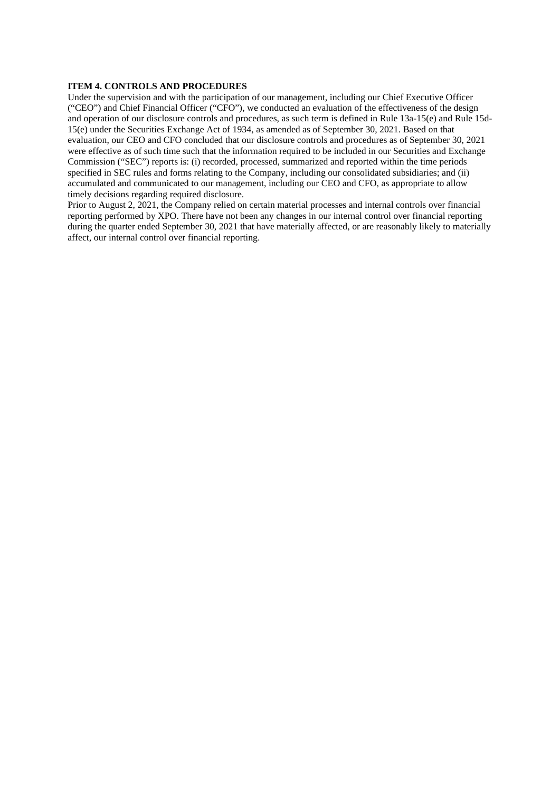#### **ITEM 4. CONTROLS AND PROCEDURES**

Under the supervision and with the participation of our management, including our Chief Executive Officer ("CEO") and Chief Financial Officer ("CFO"), we conducted an evaluation of the effectiveness of the design and operation of our disclosure controls and procedures, as such term is defined in Rule 13a-15(e) and Rule 15d-15(e) under the Securities Exchange Act of 1934, as amended as of September 30, 2021. Based on that evaluation, our CEO and CFO concluded that our disclosure controls and procedures as of September 30, 2021 were effective as of such time such that the information required to be included in our Securities and Exchange Commission ("SEC") reports is: (i) recorded, processed, summarized and reported within the time periods specified in SEC rules and forms relating to the Company, including our consolidated subsidiaries; and (ii) accumulated and communicated to our management, including our CEO and CFO, as appropriate to allow timely decisions regarding required disclosure.

Prior to August 2, 2021, the Company relied on certain material processes and internal controls over financial reporting performed by XPO. There have not been any changes in our internal control over financial reporting during the quarter ended September 30, 2021 that have materially affected, or are reasonably likely to materially affect, our internal control over financial reporting.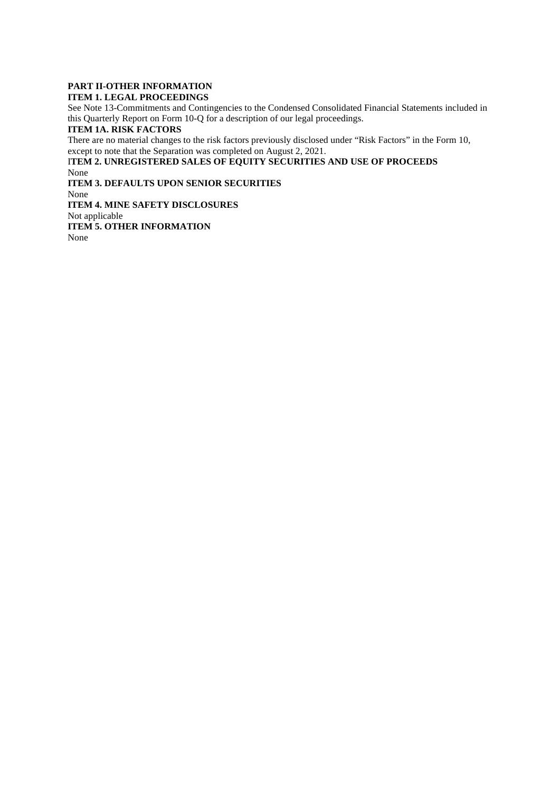#### **PART II-OTHER INFORMATION ITEM 1. LEGAL PROCEEDINGS**

See Note 13-Commitments and Contingencies to the Condensed Consolidated Financial Statements included in this Quarterly Report on Form 10-Q for a description of our legal proceedings.

# **ITEM 1A. RISK FACTORS**

There are no material changes to the risk factors previously disclosed under "Risk Factors" in the Form 10, except to note that the Separation was completed on August 2, 2021.

I**TEM 2. UNREGISTERED SALES OF EQUITY SECURITIES AND USE OF PROCEEDS** None

**ITEM 3. DEFAULTS UPON SENIOR SECURITIES**

None

**ITEM 4. MINE SAFETY DISCLOSURES**

Not applicable

**ITEM 5. OTHER INFORMATION**

None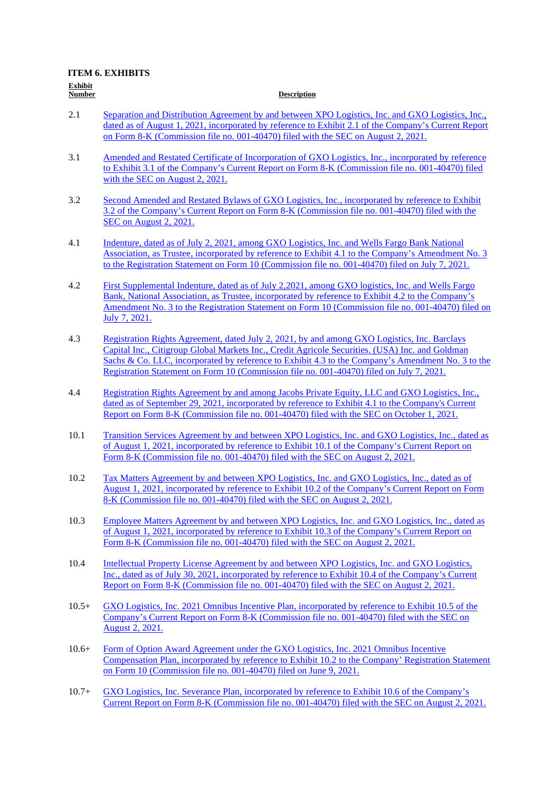| ******* |  |
|---------|--|
| umber   |  |

#### **Description**

- 2.1 [Separation and Distribution Agreement by and between XPO Logistics, Inc. and GXO Logistics, Inc.,](https://www.sec.gov/Archives/edgar/data/0001852244/000162828021015181/exhibit21-form8xkgxoxpo.htm)  [dated as of August 1, 2021, incorporated by reference to Exhibit 2.1 of the Company's Current Report](https://www.sec.gov/Archives/edgar/data/0001852244/000162828021015181/exhibit21-form8xkgxoxpo.htm)  [on Form 8-K \(Commission file no. 001-40470\) filed with the SEC on August 2, 2021.](https://www.sec.gov/Archives/edgar/data/0001852244/000162828021015181/exhibit21-form8xkgxoxpo.htm)
- 3.1 [Amended and Restated Certificate of Incorporation of GXO Logistics, Inc., incorporated by reference](https://www.sec.gov/Archives/edgar/data/0001852244/000162828021015181/exhibit31-8xkgxo.htm)  [to Exhibit 3.1 of the Company's Current Report on Form 8-K \(Commission file no. 001-40470\) filed](https://www.sec.gov/Archives/edgar/data/0001852244/000162828021015181/exhibit31-8xkgxo.htm)  [with the SEC on August 2, 2021.](https://www.sec.gov/Archives/edgar/data/0001852244/000162828021015181/exhibit31-8xkgxo.htm)
- 3.2 [Second Amended and Restated Bylaws of GXO Logistics, Inc., incorporated by reference to Exhibit](https://www.sec.gov/Archives/edgar/data/0001852244/000162828021015181/exhibit32-8xkgxo.htm)  [3.2 of the Company's Current Report on Form 8-K \(Commission file no. 001-40470\) filed with the](https://www.sec.gov/Archives/edgar/data/0001852244/000162828021015181/exhibit32-8xkgxo.htm)  [SEC on August 2, 2021.](https://www.sec.gov/Archives/edgar/data/0001852244/000162828021015181/exhibit32-8xkgxo.htm)
- 4.1 [Indenture, dated as of July 2, 2021, among GXO Logistics, Inc. and Wells Fargo Bank National](https://www.sec.gov/Archives/edgar/data/1852244/000162828021013619/exhibit41-form10a.htm)  [Association, as Trustee, incorporated by reference to Exhibit 4.1 to the Company's Amendment No. 3](https://www.sec.gov/Archives/edgar/data/1852244/000162828021013619/exhibit41-form10a.htm)  [to the Registration Statement on Form 10 \(Commission file no. 001-40470\) filed on July 7, 2021.](https://www.sec.gov/Archives/edgar/data/1852244/000162828021013619/exhibit41-form10a.htm)
- 4.2 [First Supplemental Indenture, dated as of July 2,2021, among GXO logistics, Inc. and Wells Fargo](https://www.sec.gov/Archives/edgar/data/1852244/000162828021013619/exhibit42-form10a.htm)  [Bank, National Association, as Trustee, incorporated by reference to Exhibit 4.2 to the Company's](https://www.sec.gov/Archives/edgar/data/1852244/000162828021013619/exhibit42-form10a.htm)  [Amendment No. 3 to the Registration Statement on Form 10 \(Commission file no. 001-40470\) filed on](https://www.sec.gov/Archives/edgar/data/1852244/000162828021013619/exhibit42-form10a.htm)  [July 7, 2021.](https://www.sec.gov/Archives/edgar/data/1852244/000162828021013619/exhibit42-form10a.htm)
- 4.3 [Registration Rights Agreement, dated July 2, 2021, by and among GXO Logistics, Inc. Barclays](https://www.sec.gov/Archives/edgar/data/1852244/000162828021013619/exhibit43-form10a.htm)  [Capital Inc., Citigroup Global Markets Inc., Credit Agricole Securities. \(USA\) Inc. and Goldman](https://www.sec.gov/Archives/edgar/data/1852244/000162828021013619/exhibit43-form10a.htm)  Sachs & Co. LLC, incorporated by reference to Exhibit 4.3 to the Company's Amendment No. 3 to the [Registration Statement on Form 10 \(Commission file no. 001-40470\) filed on July 7, 2021.](https://www.sec.gov/Archives/edgar/data/1852244/000162828021013619/exhibit43-form10a.htm)
- 4.4 [Registration Rights Agreement by and among Jacobs Private Equity, LLC and GXO Logistics, Inc.,](https://www.sec.gov/Archives/edgar/data/0001852244/000110465921122086/tm2127876d1_ex4-1.htm)  [dated as of September 29, 2021, incorporated by reference to Exhibit 4.1 to the Company's Current](https://www.sec.gov/Archives/edgar/data/0001852244/000110465921122086/tm2127876d1_ex4-1.htm)  [Report on Form 8-K \(Commission file no. 001-40470\) filed with the SEC on October 1, 2021.](https://www.sec.gov/Archives/edgar/data/0001852244/000110465921122086/tm2127876d1_ex4-1.htm)
- 10.1 [Transition Services Agreement by and between XPO Logistics, Inc. and GXO Logistics, Inc., dated as](https://www.sec.gov/Archives/edgar/data/0001852244/000162828021015181/exhibit101-form8xkgxoxpo.htm)  [of August 1, 2021, incorporated by reference to Exhibit 10.1 of the Company's Current Report on](https://www.sec.gov/Archives/edgar/data/0001852244/000162828021015181/exhibit101-form8xkgxoxpo.htm)  [Form 8-K \(Commission file no. 001-40470\) filed with the SEC on August 2, 2021.](https://www.sec.gov/Archives/edgar/data/0001852244/000162828021015181/exhibit101-form8xkgxoxpo.htm)
- 10.2 [Tax Matters Agreement by and between XPO Logistics, Inc. and GXO Logistics, Inc., dated as of](https://www.sec.gov/Archives/edgar/data/0001852244/000162828021015181/exhibit102-form8xkgxoxpo.htm)  [August 1, 2021, incorporated by reference to Exhibit 10.2 of the Company's Current Report on Form](https://www.sec.gov/Archives/edgar/data/0001852244/000162828021015181/exhibit102-form8xkgxoxpo.htm)  [8-K \(Commission file no. 001-40470\) filed with the SEC on August 2, 2021.](https://www.sec.gov/Archives/edgar/data/0001852244/000162828021015181/exhibit102-form8xkgxoxpo.htm)
- 10.3 [Employee Matters Agreement by and between XPO Logistics, Inc. and GXO Logistics, Inc., dated as](https://www.sec.gov/Archives/edgar/data/0001852244/000162828021015181/exhibit103-form8kgxoxpo.htm)  [of August 1, 2021, incorporated by reference to Exhibit 10.3 of the Company's Current Report on](https://www.sec.gov/Archives/edgar/data/0001852244/000162828021015181/exhibit103-form8kgxoxpo.htm)  [Form 8-K \(Commission file no. 001-40470\) filed with the SEC on August 2, 2021.](https://www.sec.gov/Archives/edgar/data/0001852244/000162828021015181/exhibit103-form8kgxoxpo.htm)
- 10.4 [Intellectual Property License Agreement by and between XPO Logistics, Inc. and GXO Logistics,](https://www.sec.gov/Archives/edgar/data/0001852244/000162828021015181/exhibit104-form8xkgxoxpo.htm)  [Inc., dated as of July 30, 2021, incorporated by reference to Exhibit 10.4 of the Company's Current](https://www.sec.gov/Archives/edgar/data/0001852244/000162828021015181/exhibit104-form8xkgxoxpo.htm)  [Report on Form 8-K \(Commission file no. 001-40470\) filed with the SEC on August 2, 2021.](https://www.sec.gov/Archives/edgar/data/0001852244/000162828021015181/exhibit104-form8xkgxoxpo.htm)
- 10.5+ [GXO Logistics, Inc. 2021 Omnibus Incentive Plan, incorporated by reference to Exhibit 10.5 of the](https://www.sec.gov/Archives/edgar/data/0001852244/000162828021015181/exhibit105-form8xkgxo.htm)  [Company's Current Report on Form 8-K \(Commission file no. 001-40470\) filed with the SEC on](https://www.sec.gov/Archives/edgar/data/0001852244/000162828021015181/exhibit105-form8xkgxo.htm)  [August 2, 2021.](https://www.sec.gov/Archives/edgar/data/0001852244/000162828021015181/exhibit105-form8xkgxo.htm)
- 10.6+ Form of Option Award Agreement under the GXO Logistics, Inc. 2021 Omnibus Incentive [Compensation Plan, incorporated by reference to Exhibit 10.2 to the Company' Registration Statement](https://www.sec.gov/Archives/edgar/data/0001852244/000162828021011851/exhibit102-form10.htm)  [on Form 10 \(Commission file no. 001-40470\) filed on June 9, 2021.](https://www.sec.gov/Archives/edgar/data/0001852244/000162828021011851/exhibit102-form10.htm)
- 10.7+ [GXO Logistics, Inc. Severance Plan, incorporated by reference to Exhibit 10.6 of the Company's](https://www.sec.gov/Archives/edgar/data/0001852244/000162828021015181/exhibit106-form8xkgxo.htm)  [Current Report on Form 8-K \(Commission file no. 001-40470\) filed with the SEC on August 2, 2021.](https://www.sec.gov/Archives/edgar/data/0001852244/000162828021015181/exhibit106-form8xkgxo.htm)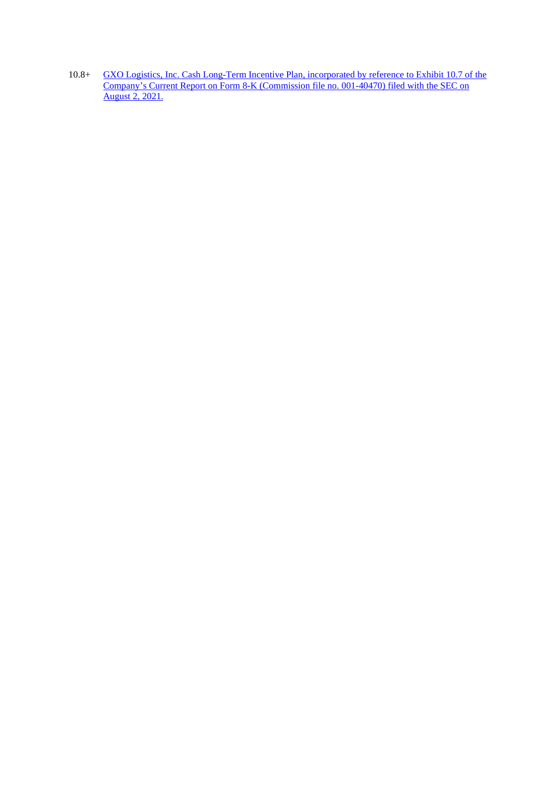10.8+ GXO Logistics, Inc. Cash Long-Term Incentive Plan, incorporated by reference to Exhibit 10.7 of the [Company's Current Report on Form 8-K \(Commission file no. 001-40470\) filed with the SEC on](https://www.sec.gov/Archives/edgar/data/0001852244/000162828021015181/exhibit107-form8xkgxo.htm)  [August 2, 2021.](https://www.sec.gov/Archives/edgar/data/0001852244/000162828021015181/exhibit107-form8xkgxo.htm)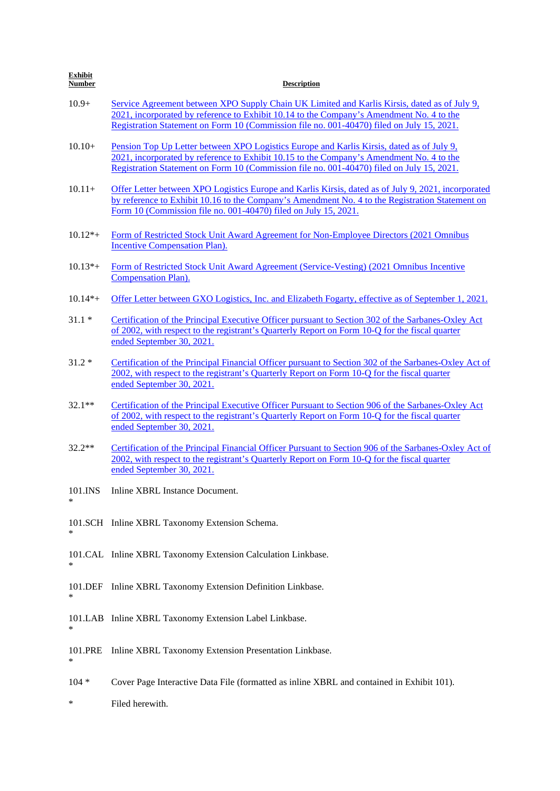| <b>Exhibit</b><br><b>Number</b> | <b>Description</b>                                                                                                                                                                                                                                                                        |
|---------------------------------|-------------------------------------------------------------------------------------------------------------------------------------------------------------------------------------------------------------------------------------------------------------------------------------------|
| $10.9+$                         | Service Agreement between XPO Supply Chain UK Limited and Karlis Kirsis, dated as of July 9,<br>2021, incorporated by reference to Exhibit 10.14 to the Company's Amendment No. 4 to the<br>Registration Statement on Form 10 (Commission file no. 001-40470) filed on July 15, 2021.     |
| $10.10+$                        | <u>Pension Top Up Letter between XPO Logistics Europe and Karlis Kirsis, dated as of July 9,</u><br>2021, incorporated by reference to Exhibit 10.15 to the Company's Amendment No. 4 to the<br>Registration Statement on Form 10 (Commission file no. 001-40470) filed on July 15, 2021. |
| $10.11+$                        | Offer Letter between XPO Logistics Europe and Karlis Kirsis, dated as of July 9, 2021, incorporated<br>by reference to Exhibit 10.16 to the Company's Amendment No. 4 to the Registration Statement on<br>Form 10 (Commission file no. 001-40470) filed on July 15, 2021.                 |
| $10.12*+$                       | Form of Restricted Stock Unit Award Agreement for Non-Employee Directors (2021 Omnibus<br><b>Incentive Compensation Plan).</b>                                                                                                                                                            |
| $10.13*+$                       | Form of Restricted Stock Unit Award Agreement (Service-Vesting) (2021 Omnibus Incentive<br><b>Compensation Plan).</b>                                                                                                                                                                     |
| $10.14*+$                       | Offer Letter between GXO Logistics, Inc. and Elizabeth Fogarty, effective as of September 1, 2021.                                                                                                                                                                                        |
| $31.1*$                         | Certification of the Principal Executive Officer pursuant to Section 302 of the Sarbanes-Oxley Act<br>of 2002, with respect to the registrant's Quarterly Report on Form 10-Q for the fiscal quarter<br>ended September 30, 2021.                                                         |
| $31.2*$                         | Certification of the Principal Financial Officer pursuant to Section 302 of the Sarbanes-Oxley Act of<br>2002, with respect to the registrant's Quarterly Report on Form 10-Q for the fiscal quarter<br>ended September 30, 2021.                                                         |
| $32.1**$                        | Certification of the Principal Executive Officer Pursuant to Section 906 of the Sarbanes-Oxley Act<br>of 2002, with respect to the registrant's Quarterly Report on Form 10-Q for the fiscal quarter<br>ended September 30, 2021.                                                         |
| $32.2**$                        | Certification of the Principal Financial Officer Pursuant to Section 906 of the Sarbanes-Oxley Act of<br>2002, with respect to the registrant's Quarterly Report on Form 10-Q for the fiscal quarter<br>ended September 30, 2021.                                                         |
| 101.INS                         | Inline XBRL Instance Document.                                                                                                                                                                                                                                                            |
| ∗                               | 101.SCH Inline XBRL Taxonomy Extension Schema.                                                                                                                                                                                                                                            |
| ∗                               | 101.CAL Inline XBRL Taxonomy Extension Calculation Linkbase.                                                                                                                                                                                                                              |
| 101.DEF<br>∗                    | Inline XBRL Taxonomy Extension Definition Linkbase.                                                                                                                                                                                                                                       |
| *                               | 101.LAB Inline XBRL Taxonomy Extension Label Linkbase.                                                                                                                                                                                                                                    |
| 101.PRE<br>∗                    | Inline XBRL Taxonomy Extension Presentation Linkbase.                                                                                                                                                                                                                                     |
| $104 *$                         | Cover Page Interactive Data File (formatted as inline XBRL and contained in Exhibit 101).                                                                                                                                                                                                 |
| ∗                               | Filed herewith.                                                                                                                                                                                                                                                                           |
|                                 |                                                                                                                                                                                                                                                                                           |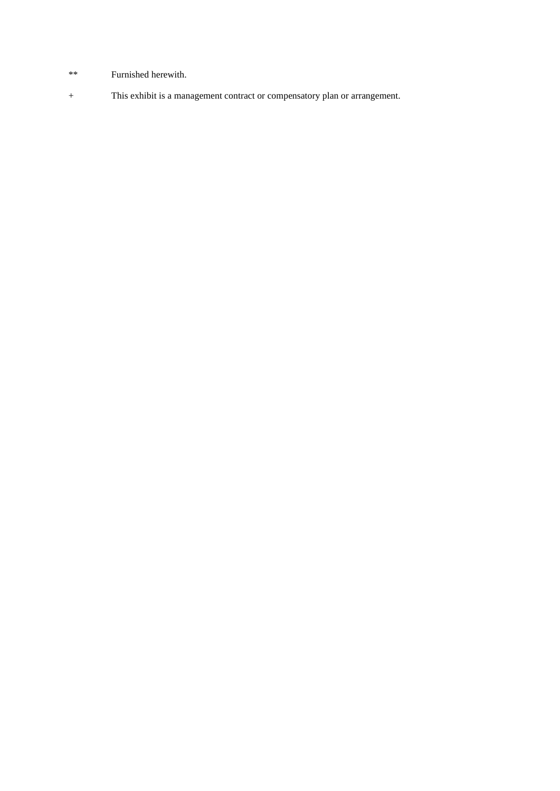- \*\* Furnished herewith.
- + This exhibit is a management contract or compensatory plan or arrangement.